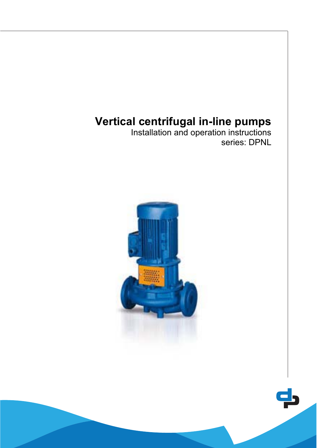# **Vertical centrifugal in-line pumps**

Installation and operation instructions series: DPNL

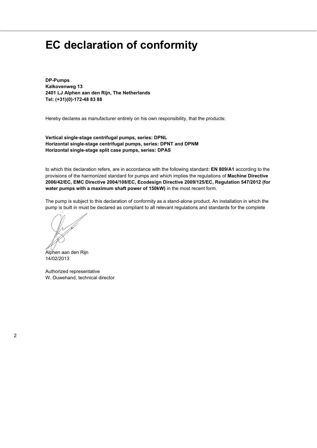# **EC declaration of conformity**

**DP-Pumps Kalkovenweg 13 2401 LJ Alphen aan den Rijn, The Netherlands Tel: (+31)(0)-172-48 83 88** 

Hereby declares as manufacturer entirely on his own responsibility, that the products:

**Vertical single-stage centrifugal pumps, series: DPNL Horizontal single-stage centrifugal pumps, series: DPNT and DPNM Horizontal single-stage split case pumps, series: DPAS** 

to which this declaration refers, are in accordance with the following standard: **EN 809/A1** according to the provisions of the harmonized standard for pumps and which implies the regulations of **Machine Directive 2006/42/EC, EMC Directive 2004/108/EC, Ecodesign Directive 2009/125/EC, Regulation 547/2012 (for water pumps with a maximum shaft power of 150kW)** in the most recent form.

The pump is subject to this declaration of conformity as a stand-alone product. An installation in which the pump is built in must be declared as compliant to all relevant regulations and standards for the complete

 $\bigcap_{\Omega}$ 

Alphen aan den Rijn 14/02/2013

Authorized representative W. Ouwehand, technical director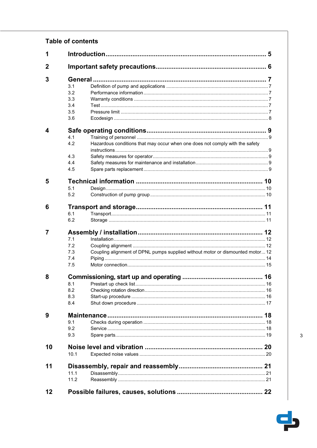# **Table of contents**

| 1              |         |                                                                                |  |  |  |  |  |  |  |  |
|----------------|---------|--------------------------------------------------------------------------------|--|--|--|--|--|--|--|--|
| $\overline{2}$ |         |                                                                                |  |  |  |  |  |  |  |  |
| 3              | General |                                                                                |  |  |  |  |  |  |  |  |
|                | 3.1     |                                                                                |  |  |  |  |  |  |  |  |
|                | 3.2     |                                                                                |  |  |  |  |  |  |  |  |
|                | 3.3     |                                                                                |  |  |  |  |  |  |  |  |
|                | 3.4     |                                                                                |  |  |  |  |  |  |  |  |
|                | 3.5     |                                                                                |  |  |  |  |  |  |  |  |
|                | 3.6     |                                                                                |  |  |  |  |  |  |  |  |
| 4              |         |                                                                                |  |  |  |  |  |  |  |  |
|                | 4.1     |                                                                                |  |  |  |  |  |  |  |  |
|                | 4.2     | Hazardous conditions that may occur when one does not comply with the safety   |  |  |  |  |  |  |  |  |
|                |         |                                                                                |  |  |  |  |  |  |  |  |
|                | 4.3     |                                                                                |  |  |  |  |  |  |  |  |
|                | 4.4     |                                                                                |  |  |  |  |  |  |  |  |
|                | 4.5     |                                                                                |  |  |  |  |  |  |  |  |
|                |         |                                                                                |  |  |  |  |  |  |  |  |
| 5              |         |                                                                                |  |  |  |  |  |  |  |  |
|                | 5.1     |                                                                                |  |  |  |  |  |  |  |  |
|                | 5.2     |                                                                                |  |  |  |  |  |  |  |  |
| 6              |         |                                                                                |  |  |  |  |  |  |  |  |
|                | 6.1     |                                                                                |  |  |  |  |  |  |  |  |
|                | 6.2     |                                                                                |  |  |  |  |  |  |  |  |
| 7              |         |                                                                                |  |  |  |  |  |  |  |  |
|                | 7.1     |                                                                                |  |  |  |  |  |  |  |  |
|                | 7.2     |                                                                                |  |  |  |  |  |  |  |  |
|                | 7.3     | Coupling alignment of DPNL pumps supplied without motor or dismounted motor 12 |  |  |  |  |  |  |  |  |
|                | 7.4     |                                                                                |  |  |  |  |  |  |  |  |
|                | 7.5     |                                                                                |  |  |  |  |  |  |  |  |
| 8              |         |                                                                                |  |  |  |  |  |  |  |  |
|                | 8.1     |                                                                                |  |  |  |  |  |  |  |  |
|                | 8.2     |                                                                                |  |  |  |  |  |  |  |  |
|                | 8.3     |                                                                                |  |  |  |  |  |  |  |  |
|                | 8.4     |                                                                                |  |  |  |  |  |  |  |  |
| 9              |         |                                                                                |  |  |  |  |  |  |  |  |
|                |         |                                                                                |  |  |  |  |  |  |  |  |
|                | 9.1     |                                                                                |  |  |  |  |  |  |  |  |
|                | 9.2     |                                                                                |  |  |  |  |  |  |  |  |
|                | 9.3     |                                                                                |  |  |  |  |  |  |  |  |
| 10             |         |                                                                                |  |  |  |  |  |  |  |  |
|                | 10.1    |                                                                                |  |  |  |  |  |  |  |  |
| 11             |         |                                                                                |  |  |  |  |  |  |  |  |
|                | 11.1    |                                                                                |  |  |  |  |  |  |  |  |
|                | 11.2    |                                                                                |  |  |  |  |  |  |  |  |
|                |         |                                                                                |  |  |  |  |  |  |  |  |
| 12             |         |                                                                                |  |  |  |  |  |  |  |  |

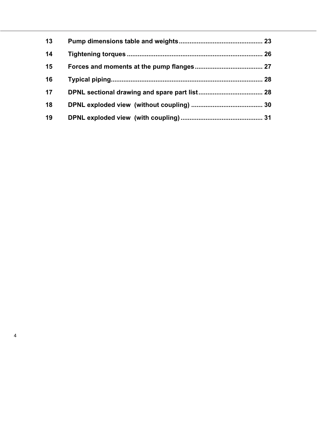| 13 |  |
|----|--|
| 14 |  |
| 15 |  |
| 16 |  |
| 17 |  |
| 18 |  |
| 19 |  |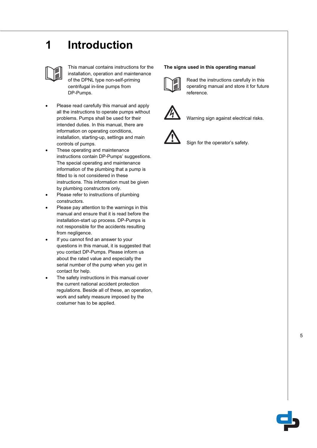# **1 Introduction**



This manual contains instructions for the installation, operation and maintenance of the DPNL type non-self-priming centrifugal in-line pumps from DP-Pumps.

- Please read carefully this manual and apply all the instructions to operate pumps without problems. Pumps shall be used for their intended duties. In this manual, there are information on operating conditions, installation, starting-up, settings and main controls of pumps.
- These operating and maintenance instructions contain DP-Pumps' suggestions. The special operating and maintenance information of the plumbing that a pump is fitted to is not considered in these instructions. This information must be given by plumbing constructors only.
- Please refer to instructions of plumbing constructors.
- Please pay attention to the warnings in this manual and ensure that it is read before the installation-start up process. DP-Pumps is not responsible for the accidents resulting from negligence.
- If you cannot find an answer to your questions in this manual, it is suggested that you contact DP-Pumps. Please inform us about the rated value and especially the serial number of the pump when you get in contact for help.
- The safety instructions in this manual cover the current national accident protection regulations. Beside all of these, an operation, work and safety measure imposed by the costumer has to be applied.

### **The signs used in this operating manual**



Read the instructions carefully in this operating manual and store it for future reference.



Warning sign against electrical risks.



Sign for the operator's safety.

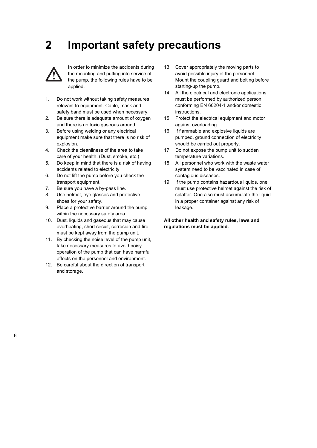# **2 Important safety precautions**



In order to minimize the accidents during the mounting and putting into service of the pump, the following rules have to be applied.

- 1. Do not work without taking safety measures relevant to equipment. Cable, mask and safety band must be used when necessary.
- 2. Be sure there is adequate amount of oxygen and there is no toxic gaseous around.
- 3. Before using welding or any electrical equipment make sure that there is no risk of explosion.
- 4. Check the cleanliness of the area to take care of your health. (Dust, smoke, etc.)
- 5. Do keep in mind that there is a risk of having accidents related to electricity
- 6. Do not lift the pump before you check the transport equipment.
- 7. Be sure you have a by-pass line.
- 8. Use helmet, eye glasses and protective shoes for your safety.
- 9. Place a protective barrier around the pump within the necessary safety area.
- 10. Dust, liquids and gaseous that may cause overheating, short circuit, corrosion and fire must be kept away from the pump unit.
- 11. By checking the noise level of the pump unit, take necessary measures to avoid noisy operation of the pump that can have harmful effects on the personnel and environment.
- 12. Be careful about the direction of transport and storage.
- 13. Cover appropriately the moving parts to avoid possible injury of the personnel. Mount the coupling guard and belting before starting-up the pump.
- 14. All the electrical and electronic applications must be performed by authorized person conforming EN 60204-1 and/or domestic instructions.
- 15. Protect the electrical equipment and motor against overloading.
- 16. If flammable and explosive liquids are pumped, ground connection of electricity should be carried out properly.
- 17. Do not expose the pump unit to sudden temperature variations.
- 18. All personnel who work with the waste water system need to be vaccinated in case of contagious diseases.
- 19. If the pump contains hazardous liquids, one must use protective helmet against the risk of splatter. One also must accumulate the liquid in a proper container against any risk of leakage.

**All other health and safety rules, laws and regulations must be applied.**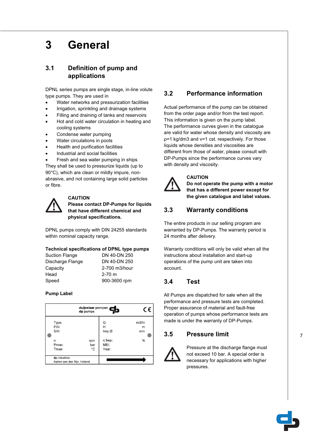# **3 General**

# **3.1 Definition of pump and applications**

DPNL series pumps are single stage, in-line volute type pumps. They are used in

- Water networks and pressurization facilities
- Irrigation, sprinkling and drainage systems
- Filling and draining of tanks and reservoirs
- Hot and cold water circulation in heating and cooling systems
- Condense water pumping
- Water circulations in pools
- Health and purification facilities
- Industrial and social facilities

Fresh and sea water pumping in ships They shall be used to pressurize liquids (up to 90°C), which are clean or mildly impure, nonabrasive, and not containing large solid particles or fibre.



## **CAUTION**

**Please contact DP-Pumps for liquids that have different chemical and physical specifications.** 

DPNL pumps comply with DIN 24255 standards within nominal capacity range.

## **Technical specifications of DPNL type pumps**

| <b>Suction Flange</b> | DN 40-DN 250  |
|-----------------------|---------------|
| Discharge Flange      | DN 40-DN 250  |
| Capacity              | 2-700 m3/hour |
| Head                  | $2 - 70$ m    |
| Speed                 | 900-3600 rpm  |

## **Pump Label**

|                                                     | duijvelaar pompen<br>dp pumps |                                              | C٤                    |
|-----------------------------------------------------|-------------------------------|----------------------------------------------|-----------------------|
| Type:<br>$P/N$ :<br>$S/N$ :<br>n:<br>Pmax:<br>Tmax: | rpm<br>bar<br>°C              | Q:<br>Н:<br>Imp@:<br>n bep:<br>MEI:<br>Year: | m3/hr<br>m<br>mm<br>% |
| dp industries<br>Alphen aan den Rijn, Holland       |                               |                                              |                       |

## **3.2 Performance information**

Actual performance of the pump can be obtained from the order page and/or from the test report. This information is given on the pump label. The performance curves given in the catalogue are valid for water whose density and viscosity are p=1 kg/dm3 and v=1 cst. respectively. For those liquids whose densities and viscosities are different from those of water, please consult with DP-Pumps since the performance curves vary with density and viscosity.



## **CAUTION**

**Do not operate the pump with a motor that has a different power except for the given catalogue and label values.** 

# **3.3 Warranty conditions**

The entire products in our selling program are warranted by DP-Pumps. The warranty period is 24 months after delivery.

Warranty conditions will only be valid when all the instructions about installation and start-up operations of the pump unit are taken into account.

## **3.4 Test**

All Pumps are dispatched for sale when all the performance and pressure tests are completed. Proper assurance of material and fault-free operation of pumps whose performance tests are made is under the warranty of DP-Pumps.

## **3.5 Pressure limit**



Pressure at the discharge flange must not exceed 10 bar. A special order is necessary for applications with higher pressures.

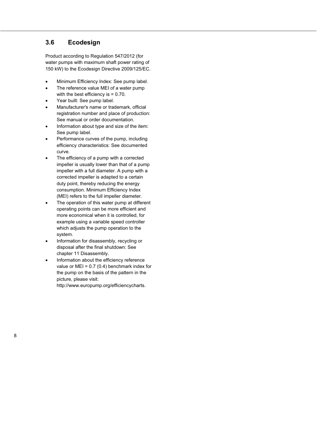## **3.6 Ecodesign**

Product according to Regulation 547/2012 (for water pumps with maximum shaft power rating of 150 kW) to the Ecodesign Directive 2009/125/EC.

- Minimum Efficiency Index: See pump label.
- The reference value MEI of a water pump with the best efficiency is  $= 0.70$ .
- Year built: See pump label.
- Manufacturer's name or trademark, official registration number and place of production: See manual or order documentation.
- Information about type and size of the item: See pump label.
- Performance curves of the pump, including efficiency characteristics: See documented curve.
- The efficiency of a pump with a corrected impeller is usually lower than that of a pump impeller with a full diameter. A pump with a corrected impeller is adapted to a certain duty point, thereby reducing the energy consumption. Minimum Efficiency Index (MEI) refers to the full impeller diameter.
- The operation of this water pump at different operating points can be more efficient and more economical when it is controlled, for example using a variable speed controller which adjusts the pump operation to the system.
- Information for disassembly, recycling or disposal after the final shutdown: See chapter 11 Disassembly.
- Information about the efficiency reference value or  $MEI = 0.7 (0.4)$  benchmark index for the pump on the basis of the pattern in the picture, please visit: http://www.europump.org/efficiencycharts.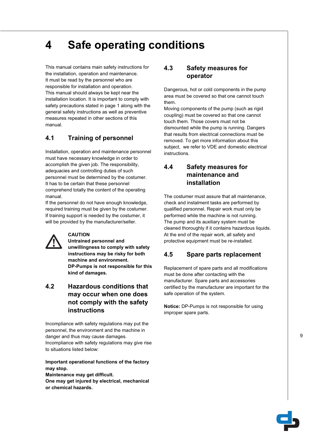# **4 Safe operating conditions**

This manual contains main safety instructions for the installation, operation and maintenance. It must be read by the personnel who are responsible for installation and operation. This manual should always be kept near the installation location. It is important to comply with safety precautions stated in page 1 along with the general safety instructions as well as preventive measures repeated in other sections of this manual.

## **4.1 Training of personnel**

Installation, operation and maintenance personnel must have necessary knowledge in order to accomplish the given job. The responsibility, adequacies and controlling duties of such personnel must be determined by the costumer. It has to be certain that these personnel comprehend totally the content of the operating manual.

If the personnel do not have enough knowledge, required training must be given by the costumer. If training support is needed by the costumer, it will be provided by the manufacturer/seller.



## **CAUTION**

**Untrained personnel and unwillingness to comply with safety instructions may be risky for both machine and environment. DP-Pumps is not responsible for this kind of damages.** 

## **4.2 Hazardous conditions that may occur when one does not comply with the safety instructions**

Incompliance with safety regulations may put the personnel, the environment and the machine in danger and thus may cause damages. Incompliance with safety regulations may give rise to situations listed below:

## **Important operational functions of the factory may stop.**

**Maintenance may get difficult. One may get injured by electrical, mechanical or chemical hazards.** 

## **4.3 Safety measures for operator**

Dangerous, hot or cold components in the pump area must be covered so that one cannot touch them.

Moving components of the pump (such as rigid coupling) must be covered so that one cannot touch them. Those covers must not be dismounted while the pump is running. Dangers that results from electrical connections must be removed. To get more information about this subject, we refer to VDE and domestic electrical instructions.

# **4.4 Safety measures for maintenance and installation**

The costumer must assure that all maintenance, check and instalment tasks are performed by qualified personnel. Repair work must only be performed while the machine is not running. The pump and its auxiliary system must be cleaned thoroughly if it contains hazardous liquids. At the end of the repair work, all safety and protective equipment must be re-installed.

## **4.5 Spare parts replacement**

Replacement of spare parts and all modifications must be done after contacting with the manufacturer. Spare parts and accessories certified by the manufacturer are important for the safe operation of the system.

**Notice:** DP-Pumps is not responsible for using improper spare parts.

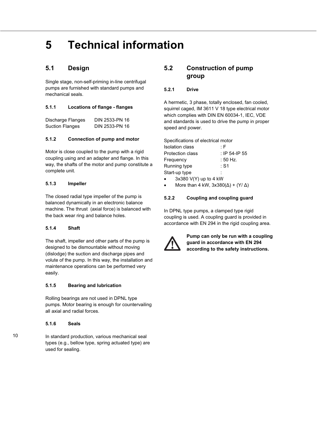# **5 Technical information**

## **5.1 Design**

Single stage, non-self-priming in-line centrifugal pumps are furnished with standard pumps and mechanical seals.

## **5.1.1 Locations of flange - flanges**

| Discharge Flanges      | DIN 2533-PN 16 |
|------------------------|----------------|
| <b>Suction Flanges</b> | DIN 2533-PN 16 |

## **5.1.2 Connection of pump and motor**

Motor is close coupled to the pump with a rigid coupling using and an adapter and flange. In this way, the shafts of the motor and pump constitute a complete unit.

## **5.1.3 Impeller**

The closed radial type impeller of the pump is balanced dynamically in an electronic balance machine. The thrust (axial force) is balanced with the back wear ring and balance holes.

## **5.1.4 Shaft**

The shaft, impeller and other parts of the pump is designed to be dismountable without moving (dislodge) the suction and discharge pipes and volute of the pump. In this way, the installation and maintenance operations can be performed very easily.

## **5.1.5 Bearing and lubrication**

Rolling bearings are not used in DPNL type pumps. Motor bearing is enough for countervailing all axial and radial forces.

## **5.1.6 Seals**

In standard production, various mechanical seal types (e.g., bellow type, spring actuated type) are used for sealing.

## **5.2 Construction of pump group**

## **5.2.1 Drive**

A hermetic, 3 phase, totally enclosed, fan cooled, squirrel caged, IM 3611 V 18 type electrical motor which complies with DIN EN 60034-1, IEC, VDE and standards is used to drive the pump in proper speed and power.

Specifications of electrical motor

| <b>Isolation class</b>  | : F           |
|-------------------------|---------------|
| <b>Protection class</b> | : IP 54-IP 55 |
| Frequency               | : 50 Hz.      |
| Running type            | : S1          |
| Start-up type           |               |
| $0.00011/11$ $1.111$    |               |

- x 3x380 V(Y) up to 4 kW
- More than 4 kW,  $3x380(\Delta) + (Y/\Delta)$

## **5.2.2 Coupling and coupling guard**

In DPNL type pumps, a clamped type rigid coupling is used. A coupling guard is provided in accordance with EN 294 in the rigid coupling area.



**Pump can only be run with a coupling guard in accordance with EN 294 according to the safety instructions.**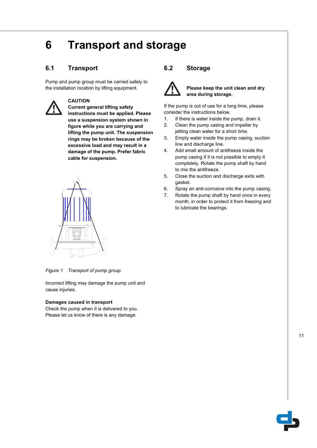# **6 Transport and storage**

# **6.1 Transport**

Pump and pump group must be carried safely to the installation location by lifting equipment.



## **CAUTION**

**Current general lifting safety instructions must be applied. Please use a suspension system shown in figure while you are carrying and lifting the pump unit. The suspension rings may be broken because of the excessive load and may result in a damage of the pump. Prefer fabric cable for suspension.** 



*Figure 1 Transport of pump group* 

Incorrect lifting may damage the pump unit and cause injuries.

## **Damages caused in transport**

Check the pump when it is delivered to you. Please let us know of there is any damage.

## **6.2 Storage**



### **Please keep the unit clean and dry area during storage.**

If the pump is out of use for a long time, please consider the instructions below.

- 1. If there is water inside the pump, drain it.
- 2. Clean the pump casing and impeller by jetting clean water for a short time.
- 3. Empty water inside the pump casing, suction line and discharge line.
- 4. Add small amount of antifreeze inside the pump casing if it is not possible to empty it completely. Rotate the pump shaft by hand to mix the antifreeze.
- 5. Close the suction and discharge exits with gasket.
- 6. Spray an anti-corrosive into the pump casing.
- 7. Rotate the pump shaft by hand once in every month, in order to protect it from freezing and to lubricate the bearings.



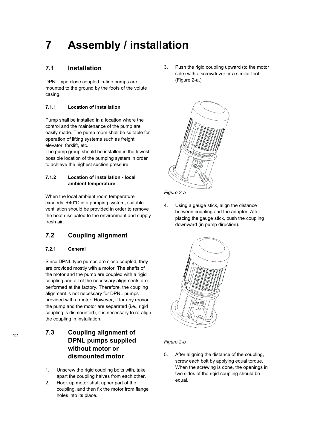# **7 Assembly / installation**

## **7.1 Installation**

DPNL type close coupled in-line pumps are mounted to the ground by the foots of the volute casing.

## **7.1.1 Location of installation**

Pump shall be installed in a location where the control and the maintenance of the pump are easily made. The pump room shall be suitable for operation of lifting systems such as freight elevator, forklift, etc.

The pump group should be installed in the lowest possible location of the pumping system in order to achieve the highest suction pressure.

## **7.1.2 Location of installation - local ambient temperature**

When the local ambient room temperature exceeds +40°C in a pumping system, suitable ventilation should be provided in order to remove the heat dissipated to the environment and supply fresh air.

# **7.2 Coupling alignment**

## **7.2.1 General**

Since DPNL type pumps are close coupled, they are provided mostly with a motor. The shafts of the motor and the pump are coupled with a rigid coupling and all of the necessary alignments are performed at the factory. Therefore, the coupling alignment is not necessary for DPNL pumps provided with a motor. However, if for any reason the pump and the motor are separated (i.e., rigid coupling is dismounted), it is necessary to re-align the coupling in installation.

**7.3 Coupling alignment of DPNL pumps supplied without motor or dismounted motor** 

- 1. Unscrew the rigid coupling bolts with, take apart the coupling halves from each other.
- 2. Hook up motor shaft upper part of the coupling, and then fix the motor from flange holes into its place.

3. Push the rigid coupling upward (to the motor side) with a screwdriver or a similar tool (Figure 2-a.)





4. Using a gauge stick, align the distance between coupling and the adapter. After placing the gauge stick, push the coupling downward (in pump direction).



## *Figure 2-b*

5. After aligning the distance of the coupling, screw each bolt by applying equal torque. When the screwing is done, the openings in two sides of the rigid coupling should be equal.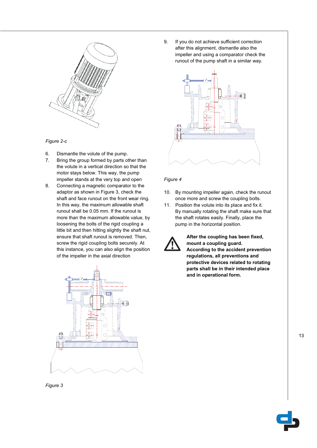



- 6. Dismantle the volute of the pump.
- 7. Bring the group formed by parts other than the volute in a vertical direction so that the motor stays below. This way, the pump impeller stands at the very top and open
- 8. Connecting a magnetic comparator to the adaptor as shown in Figure 3, check the shaft and face runout on the front wear ring. In this way, the maximum allowable shaft runout shall be 0.05 mm. If the runout is more than the maximum allowable value, by loosening the bolts of the rigid coupling a little bit and then hitting slightly the shaft nut, ensure that shaft runout is removed. Then, screw the rigid coupling bolts securely. At this instance, you can also align the position of the impeller in the axial direction



9. If you do not achieve sufficient correction after this alignment, dismantle also the impeller and using a comparator check the runout of the pump shaft in a similar way.



### *Figure 4*

- 10. By mounting impeller again, check the runout once more and screw the coupling bolts.
- 11. Position the volute into its place and fix it. By manually rotating the shaft make sure that the shaft rotates easily. Finally, place the pump in the horizontal position.



**After the coupling has been fixed, mount a coupling guard. According to the accident prevention regulations, all preventions and protective devices related to rotating parts shall be in their intended place and in operational form.** 

*Figure 3* 

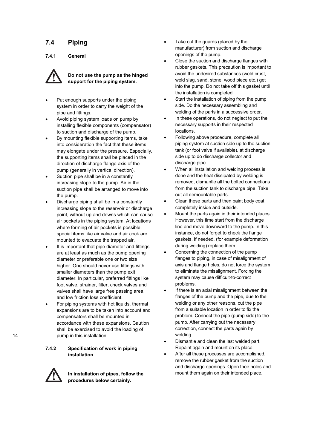# **7.4 Piping**

**7.4.1 General** 



**Do not use the pump as the hinged support for the piping system.** 

- Put enough supports under the piping system in order to carry the weight of the pipe and fittings.
- Avoid piping system loads on pump by installing flexible components (compensator) to suction and discharge of the pump.
- By mounting flexible supporting items, take into consideration the fact that these items may elongate under the pressure. Especially, the supporting items shall be placed in the direction of discharge flange axis of the pump (generally in vertical direction).
- Suction pipe shall be in a constantly increasing slope to the pump. Air in the suction pipe shall be arranged to move into the pump.
- Discharge piping shall be in a constantly increasing slope to the reservoir or discharge point, without up and downs which can cause air pockets in the piping system. At locations where forming of air pockets is possible, special items like air valve and air cock are mounted to evacuate the trapped air.
- It is important that pipe diameter and fittings are at least as much as the pump opening diameter or preferable one or two size higher. One should never use fittings with smaller diameters than the pump exit diameter. In particular, preferred fittings like foot valve, strainer, filter, check valves and valves shall have large free passing area, and low friction loss coefficient.
- For piping systems with hot liquids, thermal expansions are to be taken into account and compensators shall be mounted in accordance with these expansions. Caution shall be exercised to avoid the loading of pump in this installation.

**7.4.2 Specification of work in piping installation** 



**In installation of pipes, follow the procedures below certainly.** 

- Take out the guards (placed by the manufacturer) from suction and discharge openings of the pump.
- Close the suction and discharge flanges with rubber gaskets. This precaution is important to avoid the undesired substances (weld crust, weld slag, sand, stone, wood piece etc.) get into the pump. Do not take off this gasket until the installation is completed.
- Start the installation of piping from the pump side. Do the necessary assembling and welding of the parts in a successive order.
- In these operations, do not neglect to put the necessary supports in their respected locations.
- Following above procedure, complete all piping system at suction side up to the suction tank (or foot valve if available), at discharge side up to do discharge collector and discharge pipe.
- When all installation and welding process is done and the heat dissipated by welding is removed, dismantle all the bolted connections from the suction tank to discharge pipe. Take out all demountable parts.
- Clean these parts and then paint body coat completely inside and outside.
- Mount the parts again in their intended places. However, this time start from the discharge line and move downward to the pump. In this instance, do not forget to check the flange gaskets. If needed, (for example deformation during welding) replace them.
- Concerning the connection of the pump flanges to piping, in case of misalignment of axis and flange holes, do not force the system to eliminate the misalignment. Forcing the system may cause difficult-to-correct problems.
- If there is an axial misalignment between the flanges of the pump and the pipe, due to the welding or any other reasons, cut the pipe from a suitable location in order to fix the problem. Connect the pipe (pump side) to the pump. After carrying out the necessary correction, connect the parts again by welding.
- Dismantle and clean the last welded part. Repaint again and mount on its place.
- After all these processes are accomplished, remove the rubber gasket from the suction and discharge openings. Open their holes and mount them again on their intended place.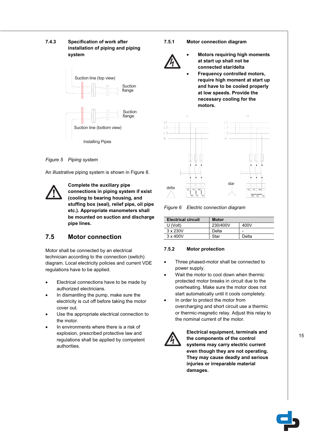## **7.4.3 Specification of work after installation of piping and piping system**



## *Figure 5 Piping system*

An illustrative piping system is shown in Figure 8.



**Complete the auxiliary pipe connections in piping system if exist (cooling to bearing housing, and stuffing box (seal), relief pipe, oil pipe etc.). Appropriate manometers shall be mounted on suction and discharge pipe lines.** 

# **7.5 Motor connection**

Motor shall be connected by an electrical technician according to the connection (switch) diagram. Local electricity policies and current VDE regulations have to be applied.

- Electrical connections have to be made by authorized electricians.
- In dismantling the pump, make sure the electricity is cut off before taking the motor cover out.
- Use the appropriate electrical connection to the motor.
- In environments where there is a risk of explosion, prescribed protective law and regulations shall be applied by competent authorities.

## **7.5.1 Motor connection diagram**



- x **Motors requiring high moments at start up shall not be connected star/delta**
- **Frequency controlled motors, require high moment at start up and have to be cooled properly at low speeds. Provide the necessary cooling for the motors.**



*Figure 6 Electric connection diagram* 

| <b>Electrical circuit</b> | <b>Motor</b> |       |  |  |  |  |  |
|---------------------------|--------------|-------|--|--|--|--|--|
| U (Volt)                  | 230/400V     | 400V  |  |  |  |  |  |
| $3 \times 230V$           | Delta        | -     |  |  |  |  |  |
| $3 \times 400V$           | Star         | Delta |  |  |  |  |  |

#### **7.5.2 Motor protection**

- Three phased-motor shall be connected to power supply.
- Wait the motor to cool down when thermic protected motor breaks in circuit due to the overheating. Make sure the motor does not start automatically until it cools completely.
- In order to protect the motor from overcharging and short circuit use a thermic or thermic-magnetic relay. Adjust this relay to the nominal current of the motor.



**Electrical equipment, terminals and the components of the control systems may carry electric current even though they are not operating. They may cause deadly and serious injuries or irreparable material damages.** 

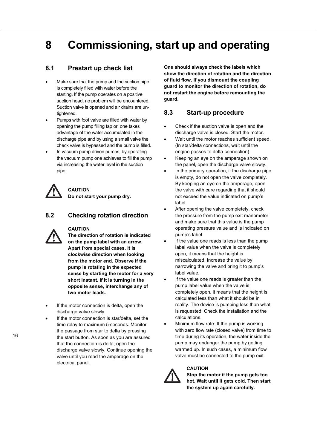# **8 Commissioning, start up and operating**

## **8.1 Prestart up check list**

- Make sure that the pump and the suction pipe is completely filled with water before the starting. If the pump operates on a positive suction head, no problem will be encountered. Suction valve is opened and air drains are untightened.
- Pumps with foot valve are filled with water by opening the pump filling tap or, one takes advantage of the water accumulated in the discharge pipe and by using a small valve the check valve is bypassed and the pump is filled.
- In vacuum pump driven pumps, by operating the vacuum pump one achieves to fill the pump via increasing the water level in the suction pipe.

**CAUTION Do not start your pump dry.** 

## **8.2 Checking rotation direction**

## **CAUTION**

**The direction of rotation is indicated on the pump label with an arrow. Apart from special cases, it is clockwise direction when looking from the motor end. Observe if the pump is rotating in the expected sense by starting the motor for a very short instant. If it is turning in the opposite sense, interchange any of two motor leads.** 

- If the motor connection is delta, open the discharge valve slowly.
- If the motor connection is star/delta, set the time relay to maximum 5 seconds. Monitor the passage from star to delta by pressing the start button. As soon as you are assured that the connection is delta, open the discharge valve slowly. Continue opening the valve until you read the amperage on the electrical panel.

**One should always check the labels which show the direction of rotation and the direction of fluid flow. If you dismount the coupling guard to monitor the direction of rotation, do not restart the engine before remounting the guard.** 

## **8.3 Start-up procedure**

- Check if the suction valve is open and the discharge valve is closed. Start the motor.
- Wait until the motor reaches sufficient speed. (In star/delta connections, wait until the engine passes to delta connection)
- x Keeping an eye on the amperage shown on the panel, open the discharge valve slowly.
- In the primary operation, if the discharge pipe is empty, do not open the valve completely. By keeping an eye on the amperage, open the valve with care regarding that it should not exceed the value indicated on pump's label.
- After opening the valve completely, check the pressure from the pump exit manometer and make sure that this value is the pump operating pressure value and is indicated on pump's label.
- If the value one reads is less than the pump label value when the valve is completely open, it means that the height is miscalculated. Increase the value by narrowing the valve and bring it to pump's label value.
- If the value one reads is greater than the pump label value when the valve is completely open, it means that the height is calculated less than what it should be in reality. The device is pumping less than what is requested. Check the installation and the calculations.
- Minimum flow rate: If the pump is working with zero flow rate (closed valve) from time to time during its operation, the water inside the pump may endanger the pump by getting warmed up. In such cases, a minimum flow valve must be connected to the pump exit.

## **CAUTION**



**Stop the motor if the pump gets too hot. Wait until it gets cold. Then start the system up again carefully.**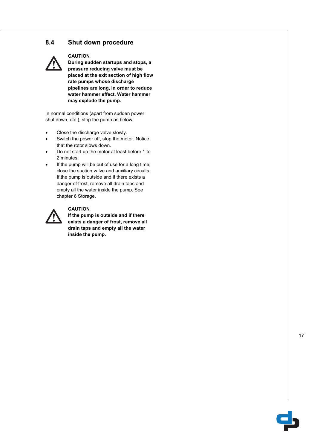## **8.4 Shut down procedure**



## **CAUTION**

**During sudden startups and stops, a pressure reducing valve must be placed at the exit section of high flow rate pumps whose discharge pipelines are long, in order to reduce water hammer effect. Water hammer may explode the pump.** 

In normal conditions (apart from sudden power shut down, etc.), stop the pump as below:

- Close the discharge valve slowly.
- Switch the power off, stop the motor. Notice that the rotor slows down.
- Do not start up the motor at least before 1 to 2 minutes.
- If the pump will be out of use for a long time, close the suction valve and auxiliary circuits. If the pump is outside and if there exists a danger of frost, remove all drain taps and empty all the water inside the pump. See chapter 6 Storage.



## **CAUTION**

**If the pump is outside and if there exists a danger of frost, remove all drain taps and empty all the water inside the pump.** 

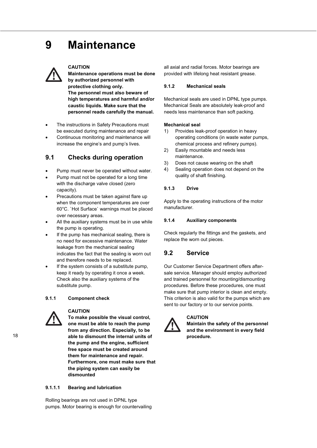# **9 Maintenance**



### **CAUTION**

**Maintenance operations must be done by authorized personnel with protective clothing only. The personnel must also beware of high temperatures and harmful and/or caustic liquids. Make sure that the personnel reads carefully the manual.**

- The instructions in Safety Precautions must be executed during maintenance and repair
- Continuous monitoring and maintenance will increase the engine's and pump's lives.

## **9.1 Checks during operation**

- Pump must never be operated without water.
- Pump must not be operated for a long time with the discharge valve closed (zero capacity).
- Precautions must be taken against flare up when the component temperatures are over 60°C. `Hot Surface` warnings must be placed over necessary areas.
- All the auxiliary systems must be in use while the pump is operating.
- If the pump has mechanical sealing, there is no need for excessive maintenance. Water leakage from the mechanical sealing indicates the fact that the sealing is worn out and therefore needs to be replaced.
- If the system consists of a substitute pump, keep it ready by operating it once a week. Check also the auxiliary systems of the substitute pump.

#### **9.1.1 Component check**



#### **CAUTION**

**To make possible the visual control, one must be able to reach the pump from any direction. Especially, to be able to dismount the internal units of the pump and the engine, sufficient free space must be created around them for maintenance and repair. Furthermore, one must make sure that the piping system can easily be dismounted** 

### **9.1.1.1 Bearing and lubrication**

Rolling bearings are not used in DPNL type pumps. Motor bearing is enough for countervailing all axial and radial forces. Motor bearings are provided with lifelong heat resistant grease.

### **9.1.2 Mechanical seals**

Mechanical seals are used in DPNL type pumps. Mechanical Seals are absolutely leak-proof and needs less maintenance than soft packing.

## **Mechanical seal**

- 1) Provides leak-proof operation in heavy operating conditions (in waste water pumps, chemical process and refinery pumps).
- 2) Easily mountable and needs less maintenance.
- 3) Does not cause wearing on the shaft
- 4) Sealing operation does not depend on the quality of shaft finishing.

## **9.1.3 Drive**

Apply to the operating instructions of the motor manufacturer.

## **9.1.4 Auxiliary components**

Check regularly the fittings and the gaskets, and replace the worn out pieces.

## **9.2 Service**

Our Customer Service Department offers aftersale service. Manager should employ authorized and trained personnel for mounting/dismounting procedures. Before these procedures, one must make sure that pump interior is clean and empty. This criterion is also valid for the pumps which are sent to our factory or to our service points.



### **CAUTION Maintain the safety of the personnel and the environment in every field procedure.**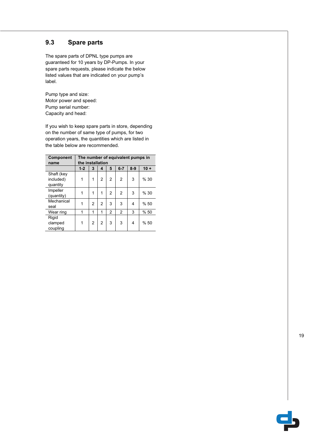## **9.3 Spare parts**

The spare parts of DPNL type pumps are guaranteed for 10 years by DP-Pumps. In your spare parts requests, please indicate the below listed values that are indicated on your pump's label.

Pump type and size: Motor power and speed: Pump serial number: Capacity and head:

If you wish to keep spare parts in store, depending on the number of same type of pumps, for two operation years, the quantities which are listed in the table below are recommended.

| <b>Component</b> | The number of equivalent pumps in |                                           |                |                |                |   |      |  |  |  |  |  |
|------------------|-----------------------------------|-------------------------------------------|----------------|----------------|----------------|---|------|--|--|--|--|--|
| name             | the installation                  |                                           |                |                |                |   |      |  |  |  |  |  |
|                  | $1 - 2$                           | $8-9$<br>$10 +$<br>3<br>5<br>$6 - 7$<br>4 |                |                |                |   |      |  |  |  |  |  |
| Shaft (key       |                                   |                                           |                |                |                |   |      |  |  |  |  |  |
| included)        | 1                                 | 1                                         | 2              | $\overline{2}$ | $\overline{2}$ | 3 | % 30 |  |  |  |  |  |
| quantity         |                                   |                                           |                |                |                |   |      |  |  |  |  |  |
| Impeller         | 1                                 | 1                                         | 1              | $\mathfrak{p}$ | $\mathcal{P}$  | 3 | %30  |  |  |  |  |  |
| (quantity)       |                                   |                                           |                |                |                |   |      |  |  |  |  |  |
| Mechanical       |                                   | 2                                         | $\overline{2}$ | 3              | 3              | 4 | %50  |  |  |  |  |  |
| seal             |                                   |                                           |                |                |                |   |      |  |  |  |  |  |
| Wear ring        | 1                                 | 1                                         | 1              | $\overline{2}$ | 2              | 3 | %50  |  |  |  |  |  |
| Rigid            |                                   |                                           |                |                |                |   |      |  |  |  |  |  |
| clamped          | 1                                 | 2                                         | $\overline{2}$ | 3              | 3              | 4 | %50  |  |  |  |  |  |
| coupling         |                                   |                                           |                |                |                |   |      |  |  |  |  |  |

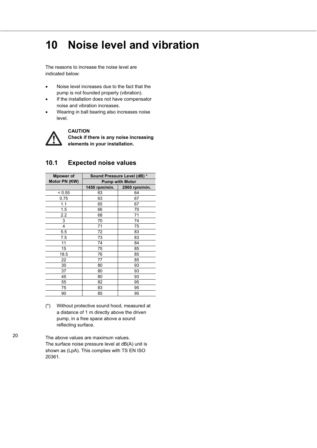# **10 Noise level and vibration**

The reasons to increase the noise level are indicated below:

- Noise level increases due to the fact that the pump is not founded properly (vibration).
- If the installation does not have compensator noise and vibration increases.
- Wearing in ball bearing also increases noise level.



**CAUTION** 

**Check if there is any noise increasing elements in your installation.** 

| Mpower of     | Sound Pressure Level (dB) * |                        |  |  |  |  |  |
|---------------|-----------------------------|------------------------|--|--|--|--|--|
| Motor PN (KW) |                             | <b>Pump with Motor</b> |  |  |  |  |  |
|               | 1450 rpm/min.               | 2900 rpm/min.          |  |  |  |  |  |
| < 0.55        | 63                          | 64                     |  |  |  |  |  |
| 0.75          | 63                          | 67                     |  |  |  |  |  |
| 1.1           | 65                          | 67                     |  |  |  |  |  |
| 1.5           | 66                          | 70                     |  |  |  |  |  |
| 2.2           | 68                          | 71                     |  |  |  |  |  |
| 3             | 70                          | 74                     |  |  |  |  |  |
| 4             | 71                          | 75                     |  |  |  |  |  |
| 5.5           | 72                          | 83                     |  |  |  |  |  |
| 7.5           | 73                          | 83                     |  |  |  |  |  |
| 11            | 74                          | 84                     |  |  |  |  |  |
| 15            | 75                          | 85                     |  |  |  |  |  |
| 18.5          | 76                          | 85                     |  |  |  |  |  |
| 22            | 77                          | 85                     |  |  |  |  |  |
| 30            | 80                          | 93                     |  |  |  |  |  |
| 37            | 80                          | 93                     |  |  |  |  |  |
| 45            | 80                          | 93                     |  |  |  |  |  |
| 55            | 82                          | 95                     |  |  |  |  |  |
| 75            | 83                          | 95                     |  |  |  |  |  |
| 90            | 85                          | 95                     |  |  |  |  |  |

## **10.1 Expected noise values**

(\*) Without protective sound hood, measured at a distance of 1 m directly above the driven pump, in a free space above a sound reflecting surface.

The above values are maximum values. The surface noise pressure level at dB(A) unit is shown as (LpA). This complies with TS EN ISO 20361.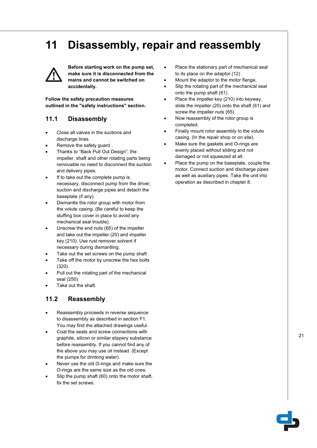# **11 Disassembly, repair and reassembly**



**Before starting work on the pump set, make sure it is disconnected from the mains and cannot be switched on accidentally.** 

**Follow the safety precaution measures outlined in the "safety instructions" section.** 

## **11.1 Disassembly**

- Close all valves in the suctions and discharge lines.
- Remove the safety guard.
- Thanks to "Back Pull Out Design"; the impeller, shaft and other rotating parts being removable no need to disconnect the suction and delivery pipes.
- If to take out the complete pump is necessary, disconnect pump from the driver, suction and discharge pipes and detach the baseplate (if any).
- Dismantle the rotor group with motor from the volute casing. (Be careful to keep the stuffing box cover in place to avoid any mechanical seal trouble).
- Unscrew the end nuts (65) of the impeller and take out the impeller (20) and impeller key (210). Use rust remover solvent if necessary during dismantling.
- Take out the set screws on the pump shaft.
- Take off the motor by unscrew the hex bolts (320).
- Pull out the rotating part of the mechanical seal (250).
- Take out the shaft.

# **11.2 Reassembly**

- Reassembly proceeds in reverse sequence to disassembly as described in section F1. You may find the attached drawings useful.
- Coat the seats and screw connections with graphite, silicon or similar slippery substance before reassembly. If you cannot find any of the above you may use oil instead. (Except the pumps for drinking water).
- Never use the old O-rings and make sure the O-rings are the same size as the old ones.
- Slip the pump shaft (60) onto the motor shaft, fix the set screws.
- Place the stationary part of mechanical seal to its place on the adaptor (12)
- Mount the adaptor to the motor flange.
- Slip the rotating part of the mechanical seal onto the pump shaft (61)
- Place the impeller key (210) into keyway, slide the impeller (20) onto the shaft (61) and screw the impeller nuts (65).
- Now reassembly of the rotor group is completed.
- Finally mount rotor assembly to the volute casing. (In the repair shop or on site).
- Make sure the gaskets and O-rings are evenly placed without sliding and not damaged or not squeezed at all.
- Place the pump on the baseplate, couple the motor. Connect suction and discharge pipes as well as auxiliary pipes. Take the unit into operation as described in chapter 8.

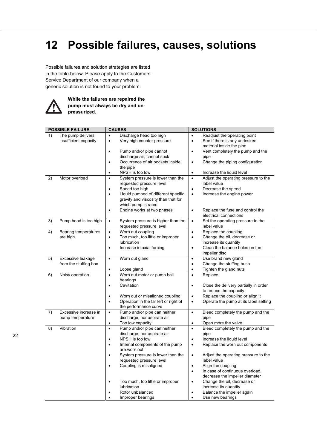# **12 Possible failures, causes, solutions**

Possible failures and solution strategies are listed in the table below. Please apply to the Customers' Service Department of our company when a generic solution is not found to your problem.



**While the failures are repaired the pump must always be dry and unpressurized.** 

| Discharge head too high<br>Readjust the operating point<br>1)<br>The pump delivers<br>$\bullet$<br>$\bullet$<br>Very high counter pressure<br>See if there is any undesired<br>insufficient capacity<br>$\bullet$<br>$\bullet$<br>material inside the pipe<br>Pump and/or pipe cannot<br>Vent completely the pump and the<br>$\bullet$<br>٠<br>discharge air, cannot suck<br>pipe<br>Occurrence of air pockets inside<br>Change the piping configuration<br>$\bullet$<br>$\bullet$<br>the pipe<br>NPSH is too low<br>Increase the liquid level<br>$\bullet$<br>$\bullet$<br>2)<br>Motor overload<br>System pressure is lower than the<br>Adjust the operating pressure to the<br>$\bullet$<br>$\bullet$<br>requested pressure level<br>label value<br>Speed too high<br>Decrease the speed<br>$\bullet$<br>$\bullet$<br>Liquid pumped of different specific<br>Increase the engine power<br>$\bullet$<br>$\bullet$<br>gravity and viscosity than that for<br>which pump is rated<br>Engine works at two phases<br>Replace the fuse and control the<br>$\bullet$<br>$\bullet$<br>electrical connections<br>3)<br>Pump head is too high<br>Set the operating pressure to the<br>System pressure is higher than the<br>$\bullet$<br>$\bullet$<br>requested pressure level<br>label value<br>Worn out coupling<br>Replace the coupling<br>Bearing temperatures<br>4)<br>$\bullet$<br>$\bullet$<br>Too much, too little or improper<br>Change the oil, decrease or<br>are high<br>$\bullet$<br>$\bullet$<br>increase its quantity<br>lubrication<br>Clean the balance holes on the<br>Increase in axial forcing<br>$\bullet$<br>$\bullet$<br>impeller disc<br>Worn out gland<br>Use brand new gland<br>5)<br>Excessive leakage<br>$\bullet$<br>$\bullet$<br>Change the stuffing bush<br>from the stuffing box<br>$\bullet$<br>Tighten the gland nuts<br>Loose gland<br>$\bullet$<br>$\bullet$<br>Worn out motor or pump ball<br>Replace<br>6)<br>Noisy operation<br>$\bullet$<br>$\bullet$<br>bearings<br>Cavitation<br>Close the delivery partially in order<br>$\bullet$<br>$\bullet$<br>to reduce the capacity.<br>Replace the coupling or align it<br>Worn out or misaligned coupling<br>$\bullet$<br>$\bullet$<br>Operation in the far left or right of<br>Operate the pump at its label setting<br>$\bullet$<br>$\bullet$<br>the performance curve<br>7)<br>Excessive increase in<br>Pump and/or pipe can neither<br>Bleed completely the pump and the<br>$\bullet$<br>$\bullet$<br>discharge, nor aspirate air<br>pipe<br>pump temperature<br>Too low capacity<br>Open more the valve<br>$\bullet$<br>$\bullet$<br>8)<br>Vibration<br>Pump and/or pipe can neither<br>Bleed completely the pump and the<br>$\bullet$<br>$\bullet$<br>discharge, nor aspirate air<br>pipe<br>NPSH is too low<br>Increase the liquid level<br>$\bullet$<br>$\bullet$<br>Internal components of the pump<br>Replace the worn out components<br>$\bullet$<br>$\bullet$<br>are worn out<br>System pressure is lower than the<br>Adjust the operating pressure to the<br>$\bullet$<br>$\bullet$<br>requested pressure level<br>label value<br>Align the coupling<br>Coupling is misaligned<br>$\bullet$<br>$\bullet$<br>In case of continuous overload,<br>$\bullet$<br>decrease the impeller diameter<br>Change the oil, decrease or<br>Too much, too little or improper<br>$\bullet$<br>$\bullet$ | <b>POSSIBLE FAILURE</b> | <b>CAUSES</b> | <b>SOLUTIONS</b> |  |  |  |
|---------------------------------------------------------------------------------------------------------------------------------------------------------------------------------------------------------------------------------------------------------------------------------------------------------------------------------------------------------------------------------------------------------------------------------------------------------------------------------------------------------------------------------------------------------------------------------------------------------------------------------------------------------------------------------------------------------------------------------------------------------------------------------------------------------------------------------------------------------------------------------------------------------------------------------------------------------------------------------------------------------------------------------------------------------------------------------------------------------------------------------------------------------------------------------------------------------------------------------------------------------------------------------------------------------------------------------------------------------------------------------------------------------------------------------------------------------------------------------------------------------------------------------------------------------------------------------------------------------------------------------------------------------------------------------------------------------------------------------------------------------------------------------------------------------------------------------------------------------------------------------------------------------------------------------------------------------------------------------------------------------------------------------------------------------------------------------------------------------------------------------------------------------------------------------------------------------------------------------------------------------------------------------------------------------------------------------------------------------------------------------------------------------------------------------------------------------------------------------------------------------------------------------------------------------------------------------------------------------------------------------------------------------------------------------------------------------------------------------------------------------------------------------------------------------------------------------------------------------------------------------------------------------------------------------------------------------------------------------------------------------------------------------------------------------------------------------------------------------------------------------------------------------------------------------------------------------------------------------------------------------------------------------------------------------------------------------------------------------------------------------|-------------------------|---------------|------------------|--|--|--|
|                                                                                                                                                                                                                                                                                                                                                                                                                                                                                                                                                                                                                                                                                                                                                                                                                                                                                                                                                                                                                                                                                                                                                                                                                                                                                                                                                                                                                                                                                                                                                                                                                                                                                                                                                                                                                                                                                                                                                                                                                                                                                                                                                                                                                                                                                                                                                                                                                                                                                                                                                                                                                                                                                                                                                                                                                                                                                                                                                                                                                                                                                                                                                                                                                                                                                                                                                                                 |                         |               |                  |  |  |  |
|                                                                                                                                                                                                                                                                                                                                                                                                                                                                                                                                                                                                                                                                                                                                                                                                                                                                                                                                                                                                                                                                                                                                                                                                                                                                                                                                                                                                                                                                                                                                                                                                                                                                                                                                                                                                                                                                                                                                                                                                                                                                                                                                                                                                                                                                                                                                                                                                                                                                                                                                                                                                                                                                                                                                                                                                                                                                                                                                                                                                                                                                                                                                                                                                                                                                                                                                                                                 |                         |               |                  |  |  |  |
|                                                                                                                                                                                                                                                                                                                                                                                                                                                                                                                                                                                                                                                                                                                                                                                                                                                                                                                                                                                                                                                                                                                                                                                                                                                                                                                                                                                                                                                                                                                                                                                                                                                                                                                                                                                                                                                                                                                                                                                                                                                                                                                                                                                                                                                                                                                                                                                                                                                                                                                                                                                                                                                                                                                                                                                                                                                                                                                                                                                                                                                                                                                                                                                                                                                                                                                                                                                 |                         |               |                  |  |  |  |
|                                                                                                                                                                                                                                                                                                                                                                                                                                                                                                                                                                                                                                                                                                                                                                                                                                                                                                                                                                                                                                                                                                                                                                                                                                                                                                                                                                                                                                                                                                                                                                                                                                                                                                                                                                                                                                                                                                                                                                                                                                                                                                                                                                                                                                                                                                                                                                                                                                                                                                                                                                                                                                                                                                                                                                                                                                                                                                                                                                                                                                                                                                                                                                                                                                                                                                                                                                                 |                         |               |                  |  |  |  |
|                                                                                                                                                                                                                                                                                                                                                                                                                                                                                                                                                                                                                                                                                                                                                                                                                                                                                                                                                                                                                                                                                                                                                                                                                                                                                                                                                                                                                                                                                                                                                                                                                                                                                                                                                                                                                                                                                                                                                                                                                                                                                                                                                                                                                                                                                                                                                                                                                                                                                                                                                                                                                                                                                                                                                                                                                                                                                                                                                                                                                                                                                                                                                                                                                                                                                                                                                                                 |                         |               |                  |  |  |  |
|                                                                                                                                                                                                                                                                                                                                                                                                                                                                                                                                                                                                                                                                                                                                                                                                                                                                                                                                                                                                                                                                                                                                                                                                                                                                                                                                                                                                                                                                                                                                                                                                                                                                                                                                                                                                                                                                                                                                                                                                                                                                                                                                                                                                                                                                                                                                                                                                                                                                                                                                                                                                                                                                                                                                                                                                                                                                                                                                                                                                                                                                                                                                                                                                                                                                                                                                                                                 |                         |               |                  |  |  |  |
|                                                                                                                                                                                                                                                                                                                                                                                                                                                                                                                                                                                                                                                                                                                                                                                                                                                                                                                                                                                                                                                                                                                                                                                                                                                                                                                                                                                                                                                                                                                                                                                                                                                                                                                                                                                                                                                                                                                                                                                                                                                                                                                                                                                                                                                                                                                                                                                                                                                                                                                                                                                                                                                                                                                                                                                                                                                                                                                                                                                                                                                                                                                                                                                                                                                                                                                                                                                 |                         |               |                  |  |  |  |
|                                                                                                                                                                                                                                                                                                                                                                                                                                                                                                                                                                                                                                                                                                                                                                                                                                                                                                                                                                                                                                                                                                                                                                                                                                                                                                                                                                                                                                                                                                                                                                                                                                                                                                                                                                                                                                                                                                                                                                                                                                                                                                                                                                                                                                                                                                                                                                                                                                                                                                                                                                                                                                                                                                                                                                                                                                                                                                                                                                                                                                                                                                                                                                                                                                                                                                                                                                                 |                         |               |                  |  |  |  |
|                                                                                                                                                                                                                                                                                                                                                                                                                                                                                                                                                                                                                                                                                                                                                                                                                                                                                                                                                                                                                                                                                                                                                                                                                                                                                                                                                                                                                                                                                                                                                                                                                                                                                                                                                                                                                                                                                                                                                                                                                                                                                                                                                                                                                                                                                                                                                                                                                                                                                                                                                                                                                                                                                                                                                                                                                                                                                                                                                                                                                                                                                                                                                                                                                                                                                                                                                                                 |                         |               |                  |  |  |  |
|                                                                                                                                                                                                                                                                                                                                                                                                                                                                                                                                                                                                                                                                                                                                                                                                                                                                                                                                                                                                                                                                                                                                                                                                                                                                                                                                                                                                                                                                                                                                                                                                                                                                                                                                                                                                                                                                                                                                                                                                                                                                                                                                                                                                                                                                                                                                                                                                                                                                                                                                                                                                                                                                                                                                                                                                                                                                                                                                                                                                                                                                                                                                                                                                                                                                                                                                                                                 |                         |               |                  |  |  |  |
|                                                                                                                                                                                                                                                                                                                                                                                                                                                                                                                                                                                                                                                                                                                                                                                                                                                                                                                                                                                                                                                                                                                                                                                                                                                                                                                                                                                                                                                                                                                                                                                                                                                                                                                                                                                                                                                                                                                                                                                                                                                                                                                                                                                                                                                                                                                                                                                                                                                                                                                                                                                                                                                                                                                                                                                                                                                                                                                                                                                                                                                                                                                                                                                                                                                                                                                                                                                 |                         |               |                  |  |  |  |
|                                                                                                                                                                                                                                                                                                                                                                                                                                                                                                                                                                                                                                                                                                                                                                                                                                                                                                                                                                                                                                                                                                                                                                                                                                                                                                                                                                                                                                                                                                                                                                                                                                                                                                                                                                                                                                                                                                                                                                                                                                                                                                                                                                                                                                                                                                                                                                                                                                                                                                                                                                                                                                                                                                                                                                                                                                                                                                                                                                                                                                                                                                                                                                                                                                                                                                                                                                                 |                         |               |                  |  |  |  |
|                                                                                                                                                                                                                                                                                                                                                                                                                                                                                                                                                                                                                                                                                                                                                                                                                                                                                                                                                                                                                                                                                                                                                                                                                                                                                                                                                                                                                                                                                                                                                                                                                                                                                                                                                                                                                                                                                                                                                                                                                                                                                                                                                                                                                                                                                                                                                                                                                                                                                                                                                                                                                                                                                                                                                                                                                                                                                                                                                                                                                                                                                                                                                                                                                                                                                                                                                                                 |                         |               |                  |  |  |  |
|                                                                                                                                                                                                                                                                                                                                                                                                                                                                                                                                                                                                                                                                                                                                                                                                                                                                                                                                                                                                                                                                                                                                                                                                                                                                                                                                                                                                                                                                                                                                                                                                                                                                                                                                                                                                                                                                                                                                                                                                                                                                                                                                                                                                                                                                                                                                                                                                                                                                                                                                                                                                                                                                                                                                                                                                                                                                                                                                                                                                                                                                                                                                                                                                                                                                                                                                                                                 |                         |               |                  |  |  |  |
|                                                                                                                                                                                                                                                                                                                                                                                                                                                                                                                                                                                                                                                                                                                                                                                                                                                                                                                                                                                                                                                                                                                                                                                                                                                                                                                                                                                                                                                                                                                                                                                                                                                                                                                                                                                                                                                                                                                                                                                                                                                                                                                                                                                                                                                                                                                                                                                                                                                                                                                                                                                                                                                                                                                                                                                                                                                                                                                                                                                                                                                                                                                                                                                                                                                                                                                                                                                 |                         |               |                  |  |  |  |
|                                                                                                                                                                                                                                                                                                                                                                                                                                                                                                                                                                                                                                                                                                                                                                                                                                                                                                                                                                                                                                                                                                                                                                                                                                                                                                                                                                                                                                                                                                                                                                                                                                                                                                                                                                                                                                                                                                                                                                                                                                                                                                                                                                                                                                                                                                                                                                                                                                                                                                                                                                                                                                                                                                                                                                                                                                                                                                                                                                                                                                                                                                                                                                                                                                                                                                                                                                                 |                         |               |                  |  |  |  |
|                                                                                                                                                                                                                                                                                                                                                                                                                                                                                                                                                                                                                                                                                                                                                                                                                                                                                                                                                                                                                                                                                                                                                                                                                                                                                                                                                                                                                                                                                                                                                                                                                                                                                                                                                                                                                                                                                                                                                                                                                                                                                                                                                                                                                                                                                                                                                                                                                                                                                                                                                                                                                                                                                                                                                                                                                                                                                                                                                                                                                                                                                                                                                                                                                                                                                                                                                                                 |                         |               |                  |  |  |  |
|                                                                                                                                                                                                                                                                                                                                                                                                                                                                                                                                                                                                                                                                                                                                                                                                                                                                                                                                                                                                                                                                                                                                                                                                                                                                                                                                                                                                                                                                                                                                                                                                                                                                                                                                                                                                                                                                                                                                                                                                                                                                                                                                                                                                                                                                                                                                                                                                                                                                                                                                                                                                                                                                                                                                                                                                                                                                                                                                                                                                                                                                                                                                                                                                                                                                                                                                                                                 |                         |               |                  |  |  |  |
|                                                                                                                                                                                                                                                                                                                                                                                                                                                                                                                                                                                                                                                                                                                                                                                                                                                                                                                                                                                                                                                                                                                                                                                                                                                                                                                                                                                                                                                                                                                                                                                                                                                                                                                                                                                                                                                                                                                                                                                                                                                                                                                                                                                                                                                                                                                                                                                                                                                                                                                                                                                                                                                                                                                                                                                                                                                                                                                                                                                                                                                                                                                                                                                                                                                                                                                                                                                 |                         |               |                  |  |  |  |
|                                                                                                                                                                                                                                                                                                                                                                                                                                                                                                                                                                                                                                                                                                                                                                                                                                                                                                                                                                                                                                                                                                                                                                                                                                                                                                                                                                                                                                                                                                                                                                                                                                                                                                                                                                                                                                                                                                                                                                                                                                                                                                                                                                                                                                                                                                                                                                                                                                                                                                                                                                                                                                                                                                                                                                                                                                                                                                                                                                                                                                                                                                                                                                                                                                                                                                                                                                                 |                         |               |                  |  |  |  |
|                                                                                                                                                                                                                                                                                                                                                                                                                                                                                                                                                                                                                                                                                                                                                                                                                                                                                                                                                                                                                                                                                                                                                                                                                                                                                                                                                                                                                                                                                                                                                                                                                                                                                                                                                                                                                                                                                                                                                                                                                                                                                                                                                                                                                                                                                                                                                                                                                                                                                                                                                                                                                                                                                                                                                                                                                                                                                                                                                                                                                                                                                                                                                                                                                                                                                                                                                                                 |                         |               |                  |  |  |  |
|                                                                                                                                                                                                                                                                                                                                                                                                                                                                                                                                                                                                                                                                                                                                                                                                                                                                                                                                                                                                                                                                                                                                                                                                                                                                                                                                                                                                                                                                                                                                                                                                                                                                                                                                                                                                                                                                                                                                                                                                                                                                                                                                                                                                                                                                                                                                                                                                                                                                                                                                                                                                                                                                                                                                                                                                                                                                                                                                                                                                                                                                                                                                                                                                                                                                                                                                                                                 |                         |               |                  |  |  |  |
|                                                                                                                                                                                                                                                                                                                                                                                                                                                                                                                                                                                                                                                                                                                                                                                                                                                                                                                                                                                                                                                                                                                                                                                                                                                                                                                                                                                                                                                                                                                                                                                                                                                                                                                                                                                                                                                                                                                                                                                                                                                                                                                                                                                                                                                                                                                                                                                                                                                                                                                                                                                                                                                                                                                                                                                                                                                                                                                                                                                                                                                                                                                                                                                                                                                                                                                                                                                 |                         |               |                  |  |  |  |
|                                                                                                                                                                                                                                                                                                                                                                                                                                                                                                                                                                                                                                                                                                                                                                                                                                                                                                                                                                                                                                                                                                                                                                                                                                                                                                                                                                                                                                                                                                                                                                                                                                                                                                                                                                                                                                                                                                                                                                                                                                                                                                                                                                                                                                                                                                                                                                                                                                                                                                                                                                                                                                                                                                                                                                                                                                                                                                                                                                                                                                                                                                                                                                                                                                                                                                                                                                                 |                         |               |                  |  |  |  |
|                                                                                                                                                                                                                                                                                                                                                                                                                                                                                                                                                                                                                                                                                                                                                                                                                                                                                                                                                                                                                                                                                                                                                                                                                                                                                                                                                                                                                                                                                                                                                                                                                                                                                                                                                                                                                                                                                                                                                                                                                                                                                                                                                                                                                                                                                                                                                                                                                                                                                                                                                                                                                                                                                                                                                                                                                                                                                                                                                                                                                                                                                                                                                                                                                                                                                                                                                                                 |                         |               |                  |  |  |  |
|                                                                                                                                                                                                                                                                                                                                                                                                                                                                                                                                                                                                                                                                                                                                                                                                                                                                                                                                                                                                                                                                                                                                                                                                                                                                                                                                                                                                                                                                                                                                                                                                                                                                                                                                                                                                                                                                                                                                                                                                                                                                                                                                                                                                                                                                                                                                                                                                                                                                                                                                                                                                                                                                                                                                                                                                                                                                                                                                                                                                                                                                                                                                                                                                                                                                                                                                                                                 |                         |               |                  |  |  |  |
|                                                                                                                                                                                                                                                                                                                                                                                                                                                                                                                                                                                                                                                                                                                                                                                                                                                                                                                                                                                                                                                                                                                                                                                                                                                                                                                                                                                                                                                                                                                                                                                                                                                                                                                                                                                                                                                                                                                                                                                                                                                                                                                                                                                                                                                                                                                                                                                                                                                                                                                                                                                                                                                                                                                                                                                                                                                                                                                                                                                                                                                                                                                                                                                                                                                                                                                                                                                 |                         |               |                  |  |  |  |
|                                                                                                                                                                                                                                                                                                                                                                                                                                                                                                                                                                                                                                                                                                                                                                                                                                                                                                                                                                                                                                                                                                                                                                                                                                                                                                                                                                                                                                                                                                                                                                                                                                                                                                                                                                                                                                                                                                                                                                                                                                                                                                                                                                                                                                                                                                                                                                                                                                                                                                                                                                                                                                                                                                                                                                                                                                                                                                                                                                                                                                                                                                                                                                                                                                                                                                                                                                                 |                         |               |                  |  |  |  |
|                                                                                                                                                                                                                                                                                                                                                                                                                                                                                                                                                                                                                                                                                                                                                                                                                                                                                                                                                                                                                                                                                                                                                                                                                                                                                                                                                                                                                                                                                                                                                                                                                                                                                                                                                                                                                                                                                                                                                                                                                                                                                                                                                                                                                                                                                                                                                                                                                                                                                                                                                                                                                                                                                                                                                                                                                                                                                                                                                                                                                                                                                                                                                                                                                                                                                                                                                                                 |                         |               |                  |  |  |  |
|                                                                                                                                                                                                                                                                                                                                                                                                                                                                                                                                                                                                                                                                                                                                                                                                                                                                                                                                                                                                                                                                                                                                                                                                                                                                                                                                                                                                                                                                                                                                                                                                                                                                                                                                                                                                                                                                                                                                                                                                                                                                                                                                                                                                                                                                                                                                                                                                                                                                                                                                                                                                                                                                                                                                                                                                                                                                                                                                                                                                                                                                                                                                                                                                                                                                                                                                                                                 |                         |               |                  |  |  |  |
|                                                                                                                                                                                                                                                                                                                                                                                                                                                                                                                                                                                                                                                                                                                                                                                                                                                                                                                                                                                                                                                                                                                                                                                                                                                                                                                                                                                                                                                                                                                                                                                                                                                                                                                                                                                                                                                                                                                                                                                                                                                                                                                                                                                                                                                                                                                                                                                                                                                                                                                                                                                                                                                                                                                                                                                                                                                                                                                                                                                                                                                                                                                                                                                                                                                                                                                                                                                 |                         |               |                  |  |  |  |
|                                                                                                                                                                                                                                                                                                                                                                                                                                                                                                                                                                                                                                                                                                                                                                                                                                                                                                                                                                                                                                                                                                                                                                                                                                                                                                                                                                                                                                                                                                                                                                                                                                                                                                                                                                                                                                                                                                                                                                                                                                                                                                                                                                                                                                                                                                                                                                                                                                                                                                                                                                                                                                                                                                                                                                                                                                                                                                                                                                                                                                                                                                                                                                                                                                                                                                                                                                                 |                         |               |                  |  |  |  |
|                                                                                                                                                                                                                                                                                                                                                                                                                                                                                                                                                                                                                                                                                                                                                                                                                                                                                                                                                                                                                                                                                                                                                                                                                                                                                                                                                                                                                                                                                                                                                                                                                                                                                                                                                                                                                                                                                                                                                                                                                                                                                                                                                                                                                                                                                                                                                                                                                                                                                                                                                                                                                                                                                                                                                                                                                                                                                                                                                                                                                                                                                                                                                                                                                                                                                                                                                                                 |                         |               |                  |  |  |  |
|                                                                                                                                                                                                                                                                                                                                                                                                                                                                                                                                                                                                                                                                                                                                                                                                                                                                                                                                                                                                                                                                                                                                                                                                                                                                                                                                                                                                                                                                                                                                                                                                                                                                                                                                                                                                                                                                                                                                                                                                                                                                                                                                                                                                                                                                                                                                                                                                                                                                                                                                                                                                                                                                                                                                                                                                                                                                                                                                                                                                                                                                                                                                                                                                                                                                                                                                                                                 |                         |               |                  |  |  |  |
|                                                                                                                                                                                                                                                                                                                                                                                                                                                                                                                                                                                                                                                                                                                                                                                                                                                                                                                                                                                                                                                                                                                                                                                                                                                                                                                                                                                                                                                                                                                                                                                                                                                                                                                                                                                                                                                                                                                                                                                                                                                                                                                                                                                                                                                                                                                                                                                                                                                                                                                                                                                                                                                                                                                                                                                                                                                                                                                                                                                                                                                                                                                                                                                                                                                                                                                                                                                 |                         |               |                  |  |  |  |
|                                                                                                                                                                                                                                                                                                                                                                                                                                                                                                                                                                                                                                                                                                                                                                                                                                                                                                                                                                                                                                                                                                                                                                                                                                                                                                                                                                                                                                                                                                                                                                                                                                                                                                                                                                                                                                                                                                                                                                                                                                                                                                                                                                                                                                                                                                                                                                                                                                                                                                                                                                                                                                                                                                                                                                                                                                                                                                                                                                                                                                                                                                                                                                                                                                                                                                                                                                                 |                         |               |                  |  |  |  |
|                                                                                                                                                                                                                                                                                                                                                                                                                                                                                                                                                                                                                                                                                                                                                                                                                                                                                                                                                                                                                                                                                                                                                                                                                                                                                                                                                                                                                                                                                                                                                                                                                                                                                                                                                                                                                                                                                                                                                                                                                                                                                                                                                                                                                                                                                                                                                                                                                                                                                                                                                                                                                                                                                                                                                                                                                                                                                                                                                                                                                                                                                                                                                                                                                                                                                                                                                                                 |                         |               |                  |  |  |  |
|                                                                                                                                                                                                                                                                                                                                                                                                                                                                                                                                                                                                                                                                                                                                                                                                                                                                                                                                                                                                                                                                                                                                                                                                                                                                                                                                                                                                                                                                                                                                                                                                                                                                                                                                                                                                                                                                                                                                                                                                                                                                                                                                                                                                                                                                                                                                                                                                                                                                                                                                                                                                                                                                                                                                                                                                                                                                                                                                                                                                                                                                                                                                                                                                                                                                                                                                                                                 |                         |               |                  |  |  |  |
|                                                                                                                                                                                                                                                                                                                                                                                                                                                                                                                                                                                                                                                                                                                                                                                                                                                                                                                                                                                                                                                                                                                                                                                                                                                                                                                                                                                                                                                                                                                                                                                                                                                                                                                                                                                                                                                                                                                                                                                                                                                                                                                                                                                                                                                                                                                                                                                                                                                                                                                                                                                                                                                                                                                                                                                                                                                                                                                                                                                                                                                                                                                                                                                                                                                                                                                                                                                 |                         |               |                  |  |  |  |
|                                                                                                                                                                                                                                                                                                                                                                                                                                                                                                                                                                                                                                                                                                                                                                                                                                                                                                                                                                                                                                                                                                                                                                                                                                                                                                                                                                                                                                                                                                                                                                                                                                                                                                                                                                                                                                                                                                                                                                                                                                                                                                                                                                                                                                                                                                                                                                                                                                                                                                                                                                                                                                                                                                                                                                                                                                                                                                                                                                                                                                                                                                                                                                                                                                                                                                                                                                                 |                         |               |                  |  |  |  |
|                                                                                                                                                                                                                                                                                                                                                                                                                                                                                                                                                                                                                                                                                                                                                                                                                                                                                                                                                                                                                                                                                                                                                                                                                                                                                                                                                                                                                                                                                                                                                                                                                                                                                                                                                                                                                                                                                                                                                                                                                                                                                                                                                                                                                                                                                                                                                                                                                                                                                                                                                                                                                                                                                                                                                                                                                                                                                                                                                                                                                                                                                                                                                                                                                                                                                                                                                                                 |                         |               |                  |  |  |  |
|                                                                                                                                                                                                                                                                                                                                                                                                                                                                                                                                                                                                                                                                                                                                                                                                                                                                                                                                                                                                                                                                                                                                                                                                                                                                                                                                                                                                                                                                                                                                                                                                                                                                                                                                                                                                                                                                                                                                                                                                                                                                                                                                                                                                                                                                                                                                                                                                                                                                                                                                                                                                                                                                                                                                                                                                                                                                                                                                                                                                                                                                                                                                                                                                                                                                                                                                                                                 |                         |               |                  |  |  |  |
|                                                                                                                                                                                                                                                                                                                                                                                                                                                                                                                                                                                                                                                                                                                                                                                                                                                                                                                                                                                                                                                                                                                                                                                                                                                                                                                                                                                                                                                                                                                                                                                                                                                                                                                                                                                                                                                                                                                                                                                                                                                                                                                                                                                                                                                                                                                                                                                                                                                                                                                                                                                                                                                                                                                                                                                                                                                                                                                                                                                                                                                                                                                                                                                                                                                                                                                                                                                 |                         |               |                  |  |  |  |
|                                                                                                                                                                                                                                                                                                                                                                                                                                                                                                                                                                                                                                                                                                                                                                                                                                                                                                                                                                                                                                                                                                                                                                                                                                                                                                                                                                                                                                                                                                                                                                                                                                                                                                                                                                                                                                                                                                                                                                                                                                                                                                                                                                                                                                                                                                                                                                                                                                                                                                                                                                                                                                                                                                                                                                                                                                                                                                                                                                                                                                                                                                                                                                                                                                                                                                                                                                                 |                         |               |                  |  |  |  |
|                                                                                                                                                                                                                                                                                                                                                                                                                                                                                                                                                                                                                                                                                                                                                                                                                                                                                                                                                                                                                                                                                                                                                                                                                                                                                                                                                                                                                                                                                                                                                                                                                                                                                                                                                                                                                                                                                                                                                                                                                                                                                                                                                                                                                                                                                                                                                                                                                                                                                                                                                                                                                                                                                                                                                                                                                                                                                                                                                                                                                                                                                                                                                                                                                                                                                                                                                                                 |                         |               |                  |  |  |  |
|                                                                                                                                                                                                                                                                                                                                                                                                                                                                                                                                                                                                                                                                                                                                                                                                                                                                                                                                                                                                                                                                                                                                                                                                                                                                                                                                                                                                                                                                                                                                                                                                                                                                                                                                                                                                                                                                                                                                                                                                                                                                                                                                                                                                                                                                                                                                                                                                                                                                                                                                                                                                                                                                                                                                                                                                                                                                                                                                                                                                                                                                                                                                                                                                                                                                                                                                                                                 |                         |               |                  |  |  |  |
| lubrication<br>increase its quantity                                                                                                                                                                                                                                                                                                                                                                                                                                                                                                                                                                                                                                                                                                                                                                                                                                                                                                                                                                                                                                                                                                                                                                                                                                                                                                                                                                                                                                                                                                                                                                                                                                                                                                                                                                                                                                                                                                                                                                                                                                                                                                                                                                                                                                                                                                                                                                                                                                                                                                                                                                                                                                                                                                                                                                                                                                                                                                                                                                                                                                                                                                                                                                                                                                                                                                                                            |                         |               |                  |  |  |  |
| Balance the impeller again<br>Rotor unbalanced<br>$\bullet$<br>$\bullet$<br>Improper bearings<br>Use new bearings<br>$\bullet$<br>$\bullet$                                                                                                                                                                                                                                                                                                                                                                                                                                                                                                                                                                                                                                                                                                                                                                                                                                                                                                                                                                                                                                                                                                                                                                                                                                                                                                                                                                                                                                                                                                                                                                                                                                                                                                                                                                                                                                                                                                                                                                                                                                                                                                                                                                                                                                                                                                                                                                                                                                                                                                                                                                                                                                                                                                                                                                                                                                                                                                                                                                                                                                                                                                                                                                                                                                     |                         |               |                  |  |  |  |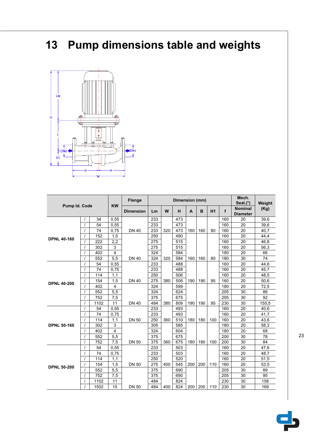# **13 Pump dimensions table and weights**



| Pump Id. Code      |  |      | <b>KW</b> | <b>Flange</b>    | Dimension (mm) |     |     |     |     |     |     | Mech.<br>$Seal.$ (*)              | Weight |
|--------------------|--|------|-----------|------------------|----------------|-----|-----|-----|-----|-----|-----|-----------------------------------|--------|
|                    |  |      |           | <b>Dimension</b> | Lm             | W   | н   | A   | B   | H1  | f   | <b>Nominal</b><br><b>Diameter</b> | (Kg)   |
|                    |  | 34   | 0,55      |                  | 233            |     | 473 |     |     |     | 160 | 20                                | 39,6   |
|                    |  | 54   | 0.55      |                  | 233            |     | 473 |     |     |     | 160 | 20                                | 39,6   |
|                    |  | 74   | 0,75      | <b>DN 40</b>     | 233            | 320 | 473 | 160 | 160 | 80  | 160 | 20                                | 40,7   |
| <b>DPNL 40-160</b> |  | 152  | 1,5       |                  | 250            |     | 490 |     |     |     | 160 | 20                                | 44,4   |
|                    |  | 222  | 2,2       |                  | 275            |     | 515 |     |     |     | 160 | 20                                | 46,8   |
|                    |  | 302  | 3         |                  | 275            |     | 515 |     |     |     | 160 | 20                                | 56,3   |
|                    |  | 402  | 4         |                  | 324            |     | 584 |     |     |     | 180 | 20                                | 66     |
|                    |  | 552  | 5,5       | <b>DN 40</b>     | 324            | 320 | 584 | 160 | 160 | 80  | 180 | 30                                | 74     |
|                    |  | 54   | 0,55      |                  | 233            |     | 488 |     |     |     | 160 | 20                                | 44,6   |
|                    |  | 74   | 0,75      |                  | 233            |     | 488 |     |     |     | 160 | 20                                | 45,7   |
|                    |  | 114  | 1,1       |                  | 250            |     | 506 |     |     |     | 160 | 20                                | 48,5   |
| <b>DPNL 40-200</b> |  | 154  | 1,5       | <b>DN 40</b>     | 275            | 380 | 506 | 190 | 190 | 95  | 160 | 20                                | 50,6   |
|                    |  | 402  | 4         |                  | 324            |     | 599 |     |     |     | 180 | 20                                | 72,5   |
|                    |  | 552  | 5,5       |                  | 324            |     | 624 |     |     |     | 205 | 30                                | 86     |
|                    |  | 752  | 7,5       |                  | 375            |     | 675 |     |     |     | 205 | 30                                | 92     |
|                    |  | 1102 | 11        | <b>DN 40</b>     | 484            | 380 | 809 | 190 | 190 | 95  | 230 | 30                                | 155,5  |
|                    |  | 54   | 0,55      |                  | 233            |     | 493 |     |     |     | 160 | 20                                | 40,6   |
|                    |  | 74   | 0,75      |                  | 233            |     | 493 |     |     |     | 160 | 20                                | 41,7   |
|                    |  | 114  | 1,1       | <b>DN 50</b>     | 250            | 360 | 510 | 180 | 180 | 100 | 160 | 20                                | 43,6   |
| <b>DPNL 50-160</b> |  | 302  | 3         |                  | 305            |     | 585 |     |     |     | 180 | 20                                | 58,3   |
|                    |  | 402  | 4         |                  | 324            |     | 604 |     |     |     | 180 | 20                                | 68     |
|                    |  | 552  | 5,5       |                  | 375            |     | 675 |     |     |     | 200 | 30                                | 78     |
|                    |  | 752  | 7,5       | <b>DN 50</b>     | 375            | 360 | 675 | 180 | 180 | 100 | 200 | 30                                | 84     |
|                    |  | 54   | 0,55      |                  | 233            |     | 503 |     |     |     | 160 | 20                                | 47,6   |
|                    |  | 74   | 0,75      |                  | 233            |     | 503 |     |     |     | 160 | 20                                | 48,7   |
|                    |  | 114  | 1,1       |                  | 250            |     | 520 |     |     |     | 160 | 20                                | 51,5   |
|                    |  | 154  | 1,5       | <b>DN 50</b>     | 275            | 400 | 545 | 200 | 200 | 110 | 160 | 20                                | 53,5   |
| <b>DPNL 50-200</b> |  | 552  | 5,5       |                  | 375            |     | 690 |     |     |     | 205 | 30                                | 89     |
|                    |  | 752  | 7,5       |                  | 375            |     | 690 |     |     |     | 205 | 30                                | 95     |
|                    |  | 1102 | 11        |                  | 484            |     | 824 |     |     |     | 230 | 30                                | 158    |
|                    |  | 1502 | 15        | <b>DN 50</b>     | 484            | 400 | 824 | 200 | 200 | 110 | 230 | 30                                | 169    |

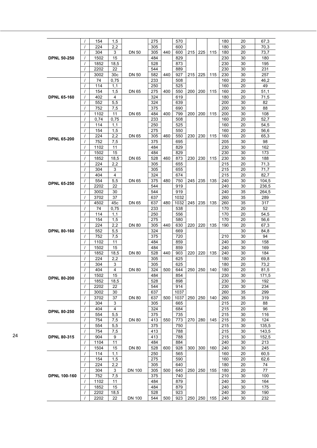|                     |            | 154              | 1,5                     |               | 275 |     | 570  |       |           |     | 180 | 20              | 67,3  |
|---------------------|------------|------------------|-------------------------|---------------|-----|-----|------|-------|-----------|-----|-----|-----------------|-------|
|                     |            | 224              | 2,2                     |               | 305 |     | 600  |       |           |     | 180 | 20              |       |
|                     |            |                  |                         |               |     |     |      |       |           |     |     |                 | 70,3  |
|                     |            | 304              | 3                       | <b>DN 50</b>  | 305 | 440 | 600  | 215   | 225       | 115 | 180 | 20              | 73,7  |
| <b>DPNL 50-250</b>  |            | 1502             | 15                      |               | 484 |     | 829  |       |           |     | 230 | 30              | 180   |
|                     |            | 1852             |                         |               | 528 |     |      |       |           |     |     | 30              | 195   |
|                     |            |                  | 18,5                    |               |     |     | 873  |       |           |     | 230 |                 |       |
|                     |            | 2202             | 22                      |               | 544 |     | 889  |       |           |     | 230 | 30              | 231   |
|                     |            | 3002             | 30 <sub>c</sub>         | <b>DN 50</b>  | 582 | 440 | 927  | 215   | 225       | 115 | 230 | 30              | 257   |
|                     |            | 74               | 0,75                    |               | 233 |     | 508  |       |           |     | 160 | 20              | 46,2  |
|                     |            |                  |                         |               |     |     |      |       |           |     |     |                 |       |
|                     |            | 114              | 1,1                     |               | 250 |     | 525  |       |           |     | 160 | 20              | 49    |
|                     |            | 154              | 1,5                     | <b>DN 65</b>  | 275 | 400 | 550  | 200   | 200       | 115 | 160 | 20              | 51,1  |
| <b>DPNL 65-160</b>  |            | 402              | 4                       |               | 324 |     | 619  |       |           |     | 180 | 20              | 71,5  |
|                     |            |                  |                         |               |     |     |      |       |           |     |     |                 |       |
|                     |            | 552              | 5,5                     |               | 324 |     | 639  |       |           |     | 200 | 30              | 82    |
|                     | $\prime$   | 752              | 7,5                     |               | 375 |     | 690  |       |           |     | 200 | 30              | 88    |
|                     |            | 1102             | 11                      | <b>DN 65</b>  | 484 | 400 | 799  | 200   | 200       | 115 | 200 | 30              | 108   |
|                     |            | 0,74             | 0,75                    |               | 233 |     | 508  |       |           |     | 160 | 20              | 52,7  |
|                     |            |                  |                         |               |     |     |      |       |           |     |     |                 |       |
|                     |            | 114              | 1,1                     |               | 250 |     | 525  |       |           |     | 160 | 20              | 54,5  |
|                     | $\prime$   | 154              | 1,5                     |               | 275 |     | 550  |       |           |     | 160 | 20              | 56,6  |
|                     |            | 224              | 2,2                     | DN 65         | 305 | 460 | 550  | 230   | 230       | 115 | 160 | 20              | 65,3  |
| <b>DPNL 65-200</b>  |            |                  |                         |               |     |     |      |       |           |     |     |                 |       |
|                     | $\prime$   | 752              | 7,5                     |               | 375 |     | 695  |       |           |     | 205 | 30              | 98    |
|                     | $\prime$   | 1102             | 11                      |               | 484 |     | 829  |       |           |     | 230 | 30              | 162   |
|                     | $\prime$   | 1502             | 15                      |               | 484 |     | 829  |       |           |     | 230 | 30              | 173   |
|                     |            |                  |                         |               |     |     |      |       |           |     |     |                 |       |
|                     | $\prime$   | 1852             | 18,5                    | <b>DN 65</b>  | 528 | 460 | 873  | 230   | 230       | 115 | 230 | 30              | 188   |
|                     | $\prime$   | 224              | 2,2                     |               | 305 |     | 655  |       |           |     | 215 | 20              | 71,3  |
|                     |            | 304              | 3                       |               | 305 |     | 655  |       |           |     | 215 | 20              | 71,7  |
|                     |            | 404              | 4                       |               | 324 |     | 674  |       |           |     | 215 | 20              | 82,7  |
|                     |            |                  |                         |               |     |     |      |       |           |     |     |                 |       |
| <b>DPNL 65-250</b>  |            | 554              | 5,5                     | <b>DN 65</b>  | 375 | 480 | 750  | 245   | 235       | 135 | 240 | 30              | 104,5 |
|                     |            | 2202             | 22                      |               | 544 |     | 919  |       |           |     | 240 | 30              | 236,5 |
|                     | $\prime$   | 3002             | 30                      |               | 544 |     | 919  |       |           |     | 240 | 35              | 264,5 |
|                     | $\prime$   | 3702             | 37                      |               | 637 |     | 1032 |       |           |     | 260 | 35              | 289   |
|                     |            |                  |                         |               |     |     |      |       |           |     |     |                 |       |
|                     | $\prime$   | 4502             | 45c                     | <b>DN 65</b>  | 637 | 480 | 1032 | 245   | 235       | 135 | 260 | 35              | 317   |
|                     |            | 74               | 0,75                    |               | 233 |     | 538  |       |           |     | 170 | 20              | 52    |
|                     |            | 114              | 1,1                     |               | 250 |     | 556  |       |           |     | 170 | 20              | 54,5  |
|                     |            | 154              | 1,5                     |               | 275 |     | 580  |       |           |     | 170 | 20              | 56,6  |
|                     |            |                  |                         |               |     |     |      |       |           |     |     |                 |       |
|                     | $\prime$   | 224              | 2,2                     | <b>DN 80</b>  | 305 | 440 | 630  | 220   | 220       | 135 | 190 | 20              | 67,3  |
| <b>DPNL 80-160</b>  |            | 552              | 5,5                     |               | 324 |     | 669  |       |           |     |     | 30              | 84,8  |
|                     | $\prime$   | 752              | 7,5                     |               | 375 |     | 720  |       |           |     | 210 | 30              | 94    |
|                     |            | 1102             | 11                      |               | 484 |     | 859  |       |           |     | 240 | 30              | 158   |
|                     |            |                  |                         |               |     |     |      |       |           |     |     |                 |       |
|                     | $\prime$   | 1502             | 15                      |               | 484 |     | 859  |       |           |     | 240 | 30              | 169   |
|                     | $\prime$   | 1852             | 18,5                    | <b>DN 80</b>  | 528 | 440 | 903  | 220   | 220       | 135 | 240 | 30              | 184   |
|                     | $\prime$   | 224              | 2,2                     |               | 305 |     | 625  |       |           |     | 180 | 20              | 69,8  |
|                     |            | 304              | 3                       |               | 305 |     | 625  |       |           |     | 180 | 20              | 73,2  |
|                     |            |                  |                         |               |     |     |      |       |           |     |     |                 |       |
|                     |            | 404              | 4                       | <b>DN 80</b>  | 324 | 500 | 644  | 250   | 250       | 140 | 180 | 20              | 81,5  |
|                     | $\sqrt{ }$ | $\frac{1502}{ }$ | $\overline{15}$         |               | 484 |     | 854  |       |           |     | 230 | $\overline{30}$ | 171,5 |
| <b>DPNL 80-200</b>  |            | 1852             | 18,5                    |               | 528 |     | 898  |       |           |     | 230 | 30              | 192   |
|                     | $\prime$   | 2202             | 22                      |               | 544 |     | 914  |       |           |     | 230 | 30              | 234   |
|                     |            |                  |                         |               |     |     |      |       |           |     |     |                 |       |
|                     | $\prime$   | 3002             | 30                      |               | 637 |     | 1037 |       |           |     | 260 | 35              | 299   |
|                     | $\prime$   | 3702             | 37                      | <b>DN 80</b>  | 637 | 500 | 1037 | 250   | 250       | 140 | 260 | 35              | 319   |
|                     |            | 304              | 3                       |               | 305 |     | 665  |       |           |     | 215 | 20              | 88    |
|                     |            | 404              | $\overline{\mathbf{4}}$ |               | 324 |     | 684  |       |           |     | 215 | 20              | 96    |
| <b>DPNL 80-250</b>  |            |                  |                         |               |     |     |      |       |           |     |     |                 |       |
|                     |            | 554              | 5,5                     |               | 375 |     | 735  |       |           |     | 215 | 30              | 116   |
|                     | $\prime$   | 754              | 7,5                     | <b>DN 80</b>  | 413 | 550 | 773  | ا 270 | 280       | 145 | 215 | 30              | 124   |
|                     |            | 554              | 5,5                     |               | 375 |     | 750  |       |           |     | 215 | 30              | 135,5 |
|                     |            |                  |                         |               |     |     |      |       |           |     |     |                 | 143,5 |
|                     |            | 754              | 7,5                     |               | 413 |     | 788  |       |           |     | 215 | 30              |       |
| <b>DPNL 80-315</b>  | $\prime$   | 904              | 9                       |               | 413 |     | 788  |       |           |     | 215 | 30              | 152,5 |
|                     |            | 1104             | 11                      |               | 484 |     | 884  |       |           |     | 240 | 30              | 213   |
|                     | $\prime$   | 1504             | 15                      | <b>DN 80</b>  | 528 | 600 | 928  | 300   | 300       | 160 | 240 | 30              | 245   |
|                     |            |                  |                         |               |     |     |      |       |           |     | 160 |                 |       |
|                     |            | 114              | 1,1                     |               | 250 |     | 565  |       |           |     |     | 20              | 60,5  |
|                     |            | 154              | 1,5                     |               | 275 |     | 590  |       |           |     | 160 | 20              | 62,6  |
|                     |            | 224              | 2,2                     |               | 305 |     | 640  |       |           |     | 180 | 20              | 74    |
|                     |            | 304              | 3                       | <b>DN 100</b> | 305 | 500 | 640  | 250   | 250       | 155 | 180 | 20              | 77    |
|                     |            |                  |                         |               |     |     |      |       |           |     |     |                 |       |
| <b>DPNL 100-160</b> |            | 752              | 7,5                     |               | 375 |     | 740  |       |           |     | 210 | 30              | 100   |
|                     |            | 1102             | 11                      |               | 484 |     | 879  |       |           |     | 240 | 30              | 164   |
|                     |            | 1852             | 15                      |               | 484 |     | 879  |       |           |     | 240 | 30              | 175   |
|                     | $\prime$   | 2202             | 18,5                    |               | 528 |     | 923  |       |           |     | 240 | 30              | 190   |
|                     |            |                  |                         |               |     |     |      |       |           |     |     |                 |       |
|                     |            | 2202             | 22                      | <b>DN 100</b> | 544 | 500 | 923  |       | 250   250 | 155 | 240 | 30              | 232   |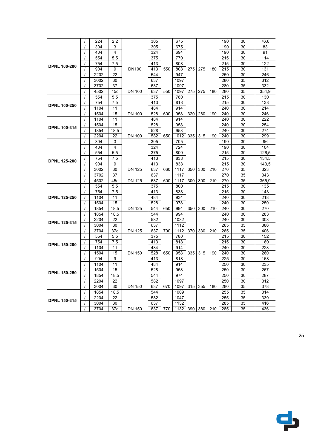|                     |                | 224  | 2,2            |               | 305 |     | 675  |     |     |     | 190 | 30       | 76,6  |
|---------------------|----------------|------|----------------|---------------|-----|-----|------|-----|-----|-----|-----|----------|-------|
|                     | $\prime$       | 304  | 3              |               | 305 |     | 675  |     |     |     | 190 | 30       | 83    |
|                     | $\overline{1}$ | 404  | $\overline{4}$ |               | 324 |     | 694  |     |     |     | 190 | 30       | 91    |
|                     | $\prime$       | 554  | 5,5            |               | 375 |     | 770  |     |     |     | 215 | 30       | 114   |
| <b>DPNL 100-200</b> | $\prime$       | 754  | 7,5            |               | 413 |     | 808  |     |     |     | 215 | 30       | 122   |
|                     | $\prime$       | 904  | 9              | <b>DN100</b>  | 413 | 550 | 808  | 275 | 275 | 180 | 215 | 30       | 131   |
|                     | $\overline{1}$ | 2202 | 22             |               | 544 |     | 947  |     |     |     | 250 | 30       | 246   |
|                     | $\overline{1}$ | 3002 | 30             |               | 637 |     | 1097 |     |     |     | 280 | 35       | 312   |
|                     | $\overline{1}$ | 3702 | 37             |               | 637 |     | 1097 |     |     |     | 280 | 35       | 332   |
|                     | $\prime$       | 4502 | 45c            | <b>DN 100</b> | 637 | 550 | 1097 | 275 | 275 | 180 | 280 | 35       | 354,9 |
|                     | $\prime$       | 554  | 5,5            |               | 375 |     | 780  |     |     |     | 215 | 30       | 130   |
| <b>DPNL 100-250</b> | $\prime$       | 754  | 7,5            |               | 413 |     | 818  |     |     |     | 215 | 30       | 138   |
|                     | $\prime$       | 1104 | 11             |               | 484 |     | 914  |     |     |     | 240 | 30       | 214   |
|                     | $\prime$       | 1504 | 15             | <b>DN 100</b> | 528 | 600 | 958  | 320 | 280 | 190 | 240 | 30       | 246   |
|                     | $\prime$       | 1104 | 11             |               | 484 |     | 914  |     |     |     | 240 | 30       | 222   |
| <b>DPNL 100-315</b> | $\prime$       | 1504 | 15             |               | 528 |     | 958  |     |     |     | 240 | 30       | 254   |
|                     | $\prime$       | 1854 | 18,5           |               | 528 |     | 958  |     |     |     | 240 | 30       | 274   |
|                     | $\prime$       | 2204 | 22             | <b>DN 100</b> | 582 | 650 | 1012 | 335 | 315 | 190 | 240 | 30       | 299   |
|                     | $\overline{1}$ | 304  | 3              |               | 305 |     | 705  |     |     |     | 190 | 30       | 96    |
|                     | $\prime$       | 404  | 4              |               | 324 |     | 724  |     |     |     | 190 | 30       | 104   |
|                     | $\overline{1}$ | 554  | 5,5            |               | 375 |     | 800  |     |     |     | 215 | 30       | 126,5 |
| <b>DPNL 125-200</b> | $\prime$       | 754  | 7,5            |               | 413 |     | 838  |     |     |     | 215 | 30       | 134,5 |
|                     | $\overline{1}$ | 904  | 9              |               | 413 |     | 838  |     |     |     | 215 | 30       | 143,5 |
|                     | $\prime$       | 3002 | 30             | <b>DN 125</b> | 637 | 660 | 1117 | 350 | 300 | 210 | 270 | 35       | 323   |
|                     | $\prime$       | 3702 | 37             |               | 637 |     | 1117 |     |     |     | 270 | 35       | 343   |
|                     | $\overline{1}$ | 4502 | 45c            | <b>DN 125</b> | 637 | 600 | 1117 | 300 | 300 | 210 | 270 | 35       | 365,9 |
|                     | $\prime$       | 554  | 5,5            |               | 375 |     | 800  |     |     |     | 215 | 30       | 135   |
|                     | $\overline{1}$ | 754  | 7,5            |               | 413 |     | 838  |     |     |     | 215 | 30       | 143   |
| <b>DPNL 125-250</b> | $\prime$       | 1104 | 11             |               | 484 |     | 934  |     |     |     | 240 | 30       | 218   |
|                     | $\overline{I}$ | 1504 | 15             |               | 528 |     | 978  |     |     |     | 240 | 30       | 250   |
|                     | $\prime$       | 1854 | 18,5           | <b>DN 125</b> | 544 | 650 | 994  | 350 | 300 | 210 | 240 | 30       | 270   |
|                     | $\prime$       | 1854 | 18,5           |               | 544 |     | 994  |     |     |     | 240 | 30       | 283   |
| <b>DPNL 125-315</b> | $\prime$       | 2204 | 22             |               | 582 |     | 1032 |     |     |     | 240 | 30       | 308   |
|                     | $\overline{1}$ | 3004 | 30             |               | 637 |     | 1112 |     |     |     | 265 | 35       | 386   |
|                     | $\prime$       | 3704 | 37c            | <b>DN 125</b> | 637 | 700 | 1112 | 370 | 330 | 210 | 265 | 35       | 406   |
|                     | $\prime$       | 554  | 5,5            |               | 375 |     | 780  |     |     |     | 215 | 30       | 152   |
| <b>DPNL 150-200</b> | $\prime$       | 754  | 7,5            |               | 413 |     | 818  |     |     |     | 215 | 30       | 160   |
|                     | $\prime$       | 1104 | 11             |               | 484 |     | 914  |     |     |     | 240 | 30       | 228   |
|                     | $\prime$       | 1504 | 15             | <b>DN 150</b> | 528 | 650 | 958  | 335 | 315 | 190 | 240 | 30       | 260   |
|                     | $\overline{1}$ | 904  | 9              |               | 413 |     | 818  |     |     |     | 225 | 30       | 168   |
|                     | $\overline{1}$ | 1104 | 11             |               | 484 |     | 914  |     |     |     | 250 | 30       | 235   |
| <b>DPNL 150-250</b> | $\overline{I}$ | 1504 | 15             |               | 528 |     | 958  |     |     |     | 250 | 30       | 267   |
|                     | $\overline{1}$ | 1854 | 18,5           |               | 544 |     | 974  |     |     |     | 250 | 30       | 287   |
|                     | $\overline{I}$ | 2204 | 22             |               | 582 |     | 1097 |     |     |     | 250 | 30       | 312   |
|                     | $\overline{1}$ | 3004 | 30             | <b>DN 150</b> | 637 | 670 | 1097 | 315 | 355 | 180 | 280 | 35       | 378   |
|                     | $\prime$       | 1854 | 18,5           |               | 544 |     | 1009 |     |     |     | 255 | 35       | 314   |
|                     |                | 2204 | 22             |               | 582 |     | 1047 |     |     |     | 255 | 35       | 339   |
|                     | $\prime$       |      |                |               |     |     |      |     |     |     |     |          |       |
| <b>DPNL 150-315</b> | $\overline{I}$ | 3004 | 30             |               | 637 |     | 1132 |     |     |     | 285 | 35<br>35 | 416   |

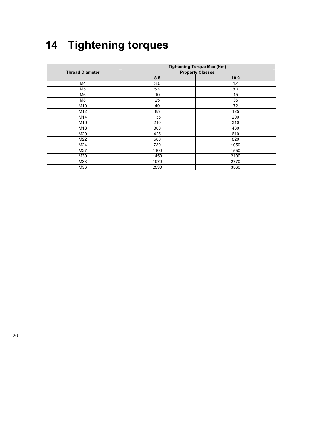# **14 Tightening torques**

|                        | <b>Tightening Torque Max (Nm)</b> |      |  |  |  |  |  |
|------------------------|-----------------------------------|------|--|--|--|--|--|
| <b>Thread Diameter</b> | <b>Property Classes</b>           |      |  |  |  |  |  |
|                        | 8.8                               | 10.9 |  |  |  |  |  |
| M4                     | 3.0                               | 4.4  |  |  |  |  |  |
| M <sub>5</sub>         | 5.9                               | 8.7  |  |  |  |  |  |
| M <sub>6</sub>         | 10                                | 15   |  |  |  |  |  |
| M <sub>8</sub>         | 25                                | 36   |  |  |  |  |  |
| M10                    | 49                                | 72   |  |  |  |  |  |
| M12                    | 85                                | 125  |  |  |  |  |  |
| M14                    | 135                               | 200  |  |  |  |  |  |
| M16                    | 210                               | 310  |  |  |  |  |  |
| M18                    | 300                               | 430  |  |  |  |  |  |
| M20                    | 425                               | 610  |  |  |  |  |  |
| M22                    | 580                               | 820  |  |  |  |  |  |
| M24                    | 730                               | 1050 |  |  |  |  |  |
| M27                    | 1100                              | 1550 |  |  |  |  |  |
| M30                    | 1450                              | 2100 |  |  |  |  |  |
| M33                    | 1970                              | 2770 |  |  |  |  |  |
| M36                    | 2530                              | 3560 |  |  |  |  |  |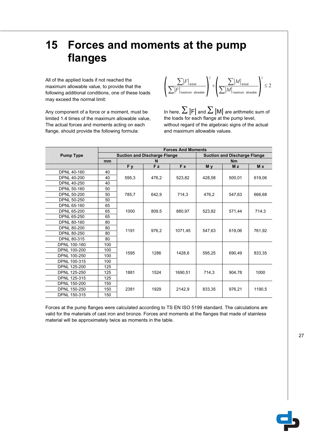# **15 Forces and moments at the pump flanges**

All of the applied loads if not reached the maximum allowable value, to provide that the following additional conditions, one of these loads may exceed the normal limit:

Any component of a force or a moment, must be limited 1.4 times of the maximum allowable value, The actual forces and moments acting on each flange, should provide the following formula:



In here,  $\sum |F|$  and  $\sum |M|$  are arithmetic sum of the loads for each flange at the pump level, without regard of the algebraic signs of the actual and maximum allowable values.

|                     | <b>Forces And Moments</b> |                                     |                |                                     |                |                |        |  |
|---------------------|---------------------------|-------------------------------------|----------------|-------------------------------------|----------------|----------------|--------|--|
| <b>Pump Type</b>    |                           | <b>Suction and Discharge Flange</b> |                | <b>Suction and Discharge Flange</b> |                |                |        |  |
|                     | mm                        |                                     | N              |                                     | <b>Nm</b>      |                |        |  |
|                     |                           | F y                                 | F <sub>z</sub> | F x                                 | M <sub>v</sub> | M <sub>z</sub> | M x    |  |
| <b>DPNL 40-160</b>  | 40                        |                                     | 476.2          |                                     |                | 500.01         | 619,06 |  |
| <b>DPNL 40-200</b>  | 40                        | 595,3                               |                | 523,82                              | 428.58         |                |        |  |
| DPNL 40-250         | 40                        |                                     |                |                                     |                |                |        |  |
| DPNL 50-160         | 50                        |                                     |                |                                     |                |                |        |  |
| <b>DPNL 50-200</b>  | 50                        | 785.7                               | 642.9          | 714.3                               | 476.2          | 547.63         | 666.68 |  |
| DPNL 50-250         | 50                        |                                     |                |                                     |                |                |        |  |
| DPNL 65-160         | 65                        |                                     | 809.5          | 880.97                              | 523.82         | 571,44         | 714.3  |  |
| <b>DPNL 65-200</b>  | 65                        | 1000                                |                |                                     |                |                |        |  |
| <b>DPNL 65-250</b>  | 65                        |                                     |                |                                     |                |                |        |  |
| <b>DPNL 80-160</b>  | 80                        |                                     | 976.2          | 1071.45                             | 547.63         | 619.06         | 761.92 |  |
| <b>DPNL 80-200</b>  | 80                        |                                     |                |                                     |                |                |        |  |
| <b>DPNL 80-250</b>  | 80                        | 1191                                |                |                                     |                |                |        |  |
| <b>DPNL 80-315</b>  | 80                        |                                     |                |                                     |                |                |        |  |
| DPNL 100-160        | 100                       |                                     |                |                                     | 595.25         | 690.49         | 833.35 |  |
| <b>DPNL 100-200</b> | 100                       |                                     | 1286           |                                     |                |                |        |  |
| DPNL 100-250        | 100                       | 1595                                |                | 1428.6                              |                |                |        |  |
| DPNL 100-315        | 100                       |                                     |                |                                     |                |                |        |  |
| <b>DPNL 125-200</b> | 125                       |                                     |                |                                     | 714.3          | 904.78         | 1000   |  |
| DPNL 125-250        | 125                       | 1881                                | 1524           | 1690.51                             |                |                |        |  |
| DPNL 125-315        | 125                       |                                     |                |                                     |                |                |        |  |
| DPNL 150-200        | 150                       |                                     |                |                                     |                |                |        |  |
| DPNL 150-250        | 150                       | 2381                                | 1929           | 2142.9                              | 833.35         | 976.21         | 1190.5 |  |
| DPNL 150-315        | 150                       |                                     |                |                                     |                |                |        |  |

Forces at the pump flanges were calculated according to TS EN ISO 5199 standard. The calculations are valid for the materials of cast iron and bronze. Forces and moments at the flanges that made of stainless material will be approximately twice as moments in the table.

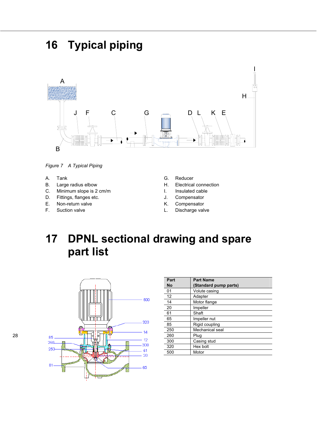# **16 Typical piping**



*Figure 7 A Typical Piping*

- A. Tank
- B. Large radius elbow
- C. Minimum slope is 2 cm/m
- D. Fittings, flanges etc.
- E. Non-return valve
- F. Suction valve
- G. Reducer
- H. Electrical connection
- I. Insulated cable
- J. Compensator
- K. Compensator
- L. Discharge valve

# **17 DPNL sectional drawing and spare part list**



| Part<br>No | <b>Part Name</b><br>(Standard pump parts) |
|------------|-------------------------------------------|
| 01         | Volute casing                             |
| 12         | Adapter                                   |
| 14         | Motor flange                              |
| 20         | Impeller                                  |
| 61         | Shaft                                     |
| 65         | Impeller nut                              |
| 85         | Rigid coupling                            |
| 250        | Mechanical seal                           |
| 260        | Plug                                      |
| 300        | Casing stud                               |
| 320        | Hex bolt                                  |
| 500        | Motor                                     |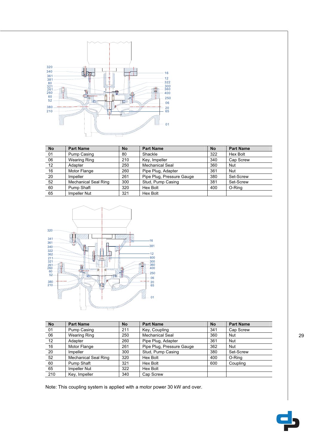

| <b>No</b> | <b>Part Name</b>            | <b>No</b> | <b>Part Name</b>          | <b>No</b> | <b>Part Name</b> |
|-----------|-----------------------------|-----------|---------------------------|-----------|------------------|
| 01        | Pump Casing                 | 80        | Shackle                   | 322       | Hex Bolt         |
| 06        | <b>Wearing Ring</b>         | 210       | Key, Impeller             | 340       | Cap Screw        |
| 12        | Adapter                     | 250       | <b>Mechanical Seal</b>    | 360       | <b>Nut</b>       |
| 16        | Motor Flange                | 260       | Pipe Plug, Adapter        | 361       | Nut              |
| 20        | Impeller                    | 261       | Pipe Plug, Pressure Gauge | 380       | Set-Screw        |
| 52        | <b>Mechanical Seal Ring</b> | 300       | Stud, Pump Casing         | 381       | Set-Screw        |
| 60        | Pump Shaft                  | 320       | Hex Bolt                  | 400       | O-Ring           |
| 65        | Impeller Nut                | 321       | Hex Bolt                  |           |                  |



| <b>No</b> | <b>Part Name</b>            | <b>No</b> | <b>Part Name</b>          | <b>No</b> | <b>Part Name</b> |
|-----------|-----------------------------|-----------|---------------------------|-----------|------------------|
| 01        | Pump Casing                 | 211       | Key, Coupling             | 341       | Cap Screw        |
| 06        | <b>Wearing Ring</b>         | 250       | <b>Mechanical Seal</b>    | 360       | <b>Nut</b>       |
| 12        | Adapter                     | 260       | Pipe Plug, Adapter        | 361       | <b>Nut</b>       |
| 16        | Motor Flange                | 261       | Pipe Plug, Pressure Gauge | 362       | <b>Nut</b>       |
| 20        | Impeller                    | 300       | Stud, Pump Casing         | 380       | Set-Screw        |
| 52        | <b>Mechanical Seal Ring</b> | 320       | Hex Bolt                  | 400       | O-Ring           |
| 60        | Pump Shaft                  | 321       | Hex Bolt                  | 600       | Coupling         |
| 65        | Impeller Nut                | 322       | Hex Bolt                  |           |                  |
| 210       | Key, Impeller               | 340       | Cap Screw                 |           |                  |

Note: This coupling system is applied with a motor power 30 kW and over.

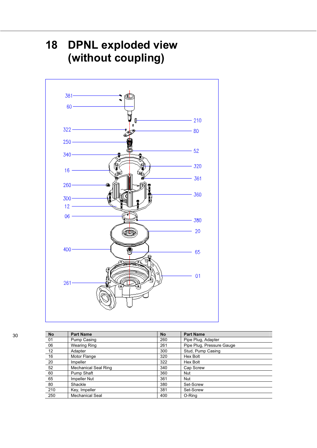# 381-60 210 ß  $322 -$ 80  $250<sub>1</sub>$ 52  $340 -$ 320  $16 -$ 361  $260 -$ 360  $300 12<sup>3</sup>$  $06<sub>1</sub>$ 380 20  $400 -$ 偶 65  $01$  $261 -$

| <b>No</b> | <b>Part Name</b>            | <b>No</b> | <b>Part Name</b>          |
|-----------|-----------------------------|-----------|---------------------------|
| 01        | Pump Casing                 | 260       | Pipe Plug, Adapter        |
| 06        | <b>Wearing Ring</b>         | 261       | Pipe Plug, Pressure Gauge |
| 12        | Adapter                     | 300       | Stud, Pump Casing         |
| 16        | Motor Flange                | 320       | Hex Bolt                  |
| 20        | Impeller                    | 322       | Hex Bolt                  |
| 52        | <b>Mechanical Seal Ring</b> | 340       | Cap Screw                 |
| 60        | Pump Shaft                  | 360       | Nut                       |
| 65        | Impeller Nut                | 361       | <b>Nut</b>                |
| 80        | Shackle                     | 380       | Set-Screw                 |
| 210       | Key, Impeller               | 381       | Set-Screw                 |
| 250       | Mechanical Seal             | 400       | O-Ring                    |

# **18 DPNL exploded view (without coupling)**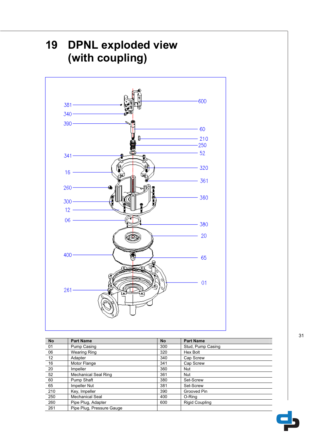

| <b>No</b> | <b>Part Name</b>            | <b>No</b> | <b>Part Name</b>      |
|-----------|-----------------------------|-----------|-----------------------|
| 01        | Pump Casing                 | 300       | Stud, Pump Casing     |
| 06        | <b>Wearing Ring</b>         | 320       | Hex Bolt              |
| 12        | Adapter                     | 340       | Cap Screw             |
| 16        | Motor Flange                | 341       | Cap Screw             |
| 20        | Impeller                    | 360       | <b>Nut</b>            |
| 52        | <b>Mechanical Seal Ring</b> | 361       | <b>Nut</b>            |
| 60        | Pump Shaft                  | 380       | Set-Screw             |
| 65        | Impeller Nut                | 381       | Set-Screw             |
| 210       | Key, Impeller               | 390       | Grooved Pin           |
| 250       | Mechanical Seal             | 400       | O-Ring                |
| 260       | Pipe Plug, Adapter          | 600       | <b>Rigid Coupling</b> |
| 261       | Pipe Plug, Pressure Gauge   |           |                       |